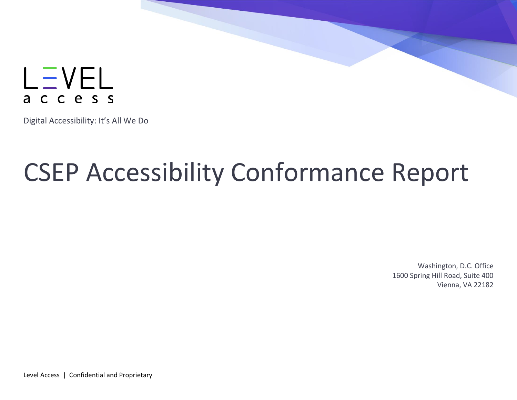

Digital Accessibility: It's All We Do

# CSEP Accessibility Conformance Report

Washington, D.C. Office 1600 Spring Hill Road, Suite 400 Vienna, VA 22182

Level Access | Confidential and Proprietary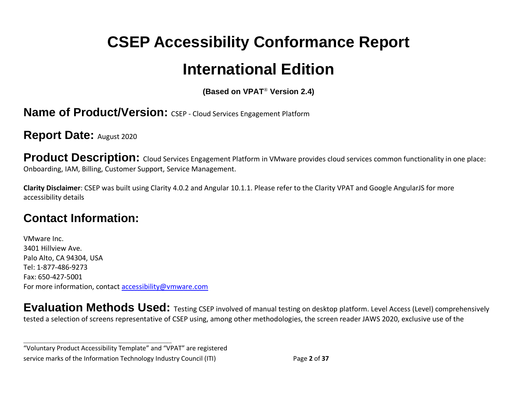# **CSEP Accessibility Conformance Report International Edition**

**(Based on VPAT**® **Version 2.4)**

**Name of Product/Version:** CSEP - Cloud Services Engagement Platform

**Report Date:** August 2020

**Product Description:** Cloud Services Engagement Platform in VMware provides cloud services common functionality in one place: Onboarding, IAM, Billing, Customer Support, Service Management.

**Clarity Disclaimer**: CSEP was built using Clarity 4.0.2 and Angular 10.1.1. Please refer to the Clarity VPAT and Google AngularJS for more accessibility details

# **Contact Information:**

VMware Inc. 3401 Hillview Ave. Palo Alto, CA 94304, USA Tel: 1-877-486-9273 Fax: 650-427-5001 For more information, contact [accessibility@vmware.com](mailto:accessibility@vmware.com)

**Evaluation Methods Used:** Testing CSEP involved of manual testing on desktop platform. Level Access (Level) comprehensively tested a selection of screens representative of CSEP using, among other methodologies, the screen reader JAWS 2020, exclusive use of the

"Voluntary Product Accessibility Template" and "VPAT" are registered service marks of the Information Technology Industry Council (ITI) Page **2** of **37**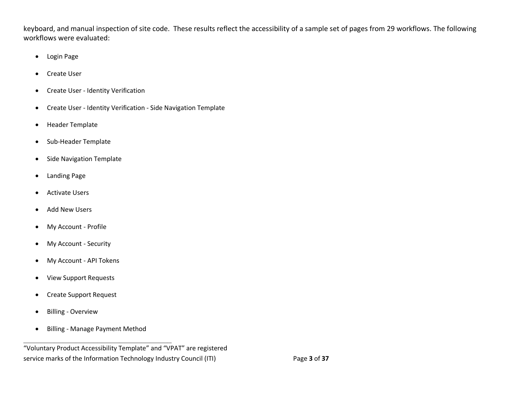keyboard, and manual inspection of site code. These results reflect the accessibility of a sample set of pages from 29 workflows. The following workflows were evaluated:

- Login Page
- Create User
- Create User Identity Verification
- Create User Identity Verification Side Navigation Template
- Header Template
- Sub-Header Template
- Side Navigation Template
- Landing Page
- Activate Users
- Add New Users
- My Account Profile
- My Account Security
- My Account API Tokens
- View Support Requests
- Create Support Request
- Billing Overview
- Billing Manage Payment Method

<sup>&</sup>quot;Voluntary Product Accessibility Template" and "VPAT" are registered service marks of the Information Technology Industry Council (ITI) Page **3** of **37**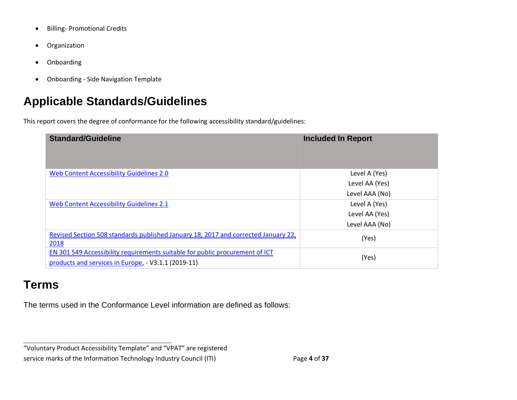- Billing- Promotional Credits
- Organization
- Onboarding
- Onboarding Side Navigation Template

# **Applicable Standards/Guidelines**

This report covers the degree of conformance for the following accessibility standard/guidelines:

| <b>Standard/Guideline</b>                                                          | <b>Included In Report</b> |
|------------------------------------------------------------------------------------|---------------------------|
| Web Content Accessibility Guidelines 2.0                                           | Level A (Yes)             |
|                                                                                    | Level AA (Yes)            |
|                                                                                    | Level AAA (No)            |
| Web Content Accessibility Guidelines 2.1                                           | Level A (Yes)             |
|                                                                                    | Level AA (Yes)            |
|                                                                                    | Level AAA (No)            |
| Revised Section 508 standards published January 18, 2017 and corrected January 22, | (Yes)                     |
| 2018                                                                               |                           |
| EN 301 549 Accessibility requirements suitable for public procurement of ICT       | (Yes)                     |
| products and services in Europe, - V3.1.1 (2019-11)                                |                           |

#### **Terms**

The terms used in the Conformance Level information are defined as follows:

<sup>&</sup>quot;Voluntary Product Accessibility Template" and "VPAT" are registered

service marks of the Information Technology Industry Council (ITI) Page **4** of **37**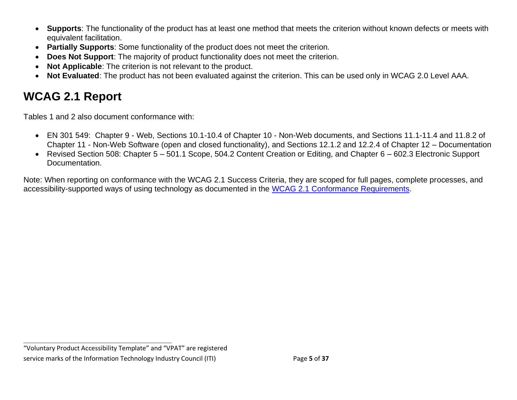- **Supports**: The functionality of the product has at least one method that meets the criterion without known defects or meets with equivalent facilitation.
- **Partially Supports**: Some functionality of the product does not meet the criterion.
- **Does Not Support**: The majority of product functionality does not meet the criterion.
- **Not Applicable**: The criterion is not relevant to the product.
- **Not Evaluated**: The product has not been evaluated against the criterion. This can be used only in WCAG 2.0 Level AAA.

## <span id="page-4-0"></span>**WCAG 2.1 Report**

Tables 1 and 2 also document conformance with:

- EN 301 549: Chapter 9 Web, Sections 10.1-10.4 of Chapter 10 Non-Web documents, and Sections 11.1-11.4 and 11.8.2 of Chapter 11 - Non-Web Software (open and closed functionality), and Sections 12.1.2 and 12.2.4 of Chapter 12 – Documentation
- Revised Section 508: Chapter 5 501.1 Scope, 504.2 Content Creation or Editing, and Chapter 6 602.3 Electronic Support Documentation.

Note: When reporting on conformance with the WCAG 2.1 Success Criteria, they are scoped for full pages, complete processes, and accessibility-supported ways of using technology as documented in the WCAG 2.1 [Conformance Requirements.](https://www.w3.org/TR/WCAG20/#conformance-reqs)

<sup>&</sup>quot;Voluntary Product Accessibility Template" and "VPAT" are registered service marks of the Information Technology Industry Council (ITI) Page **5** of **37**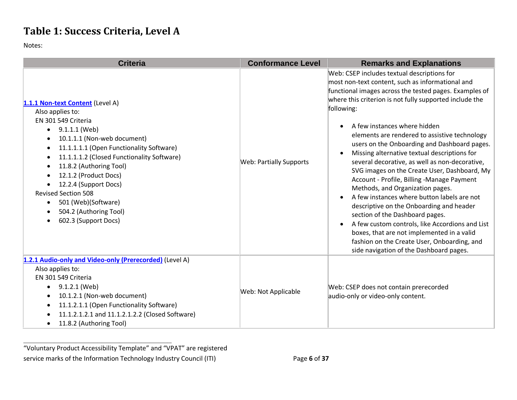#### **Table 1: Success Criteria, Level A**

Notes:

| <b>Criteria</b>                                                                                                                                                                                                                                                                                                                                                                                                        | <b>Conformance Level</b>       | <b>Remarks and Explanations</b>                                                                                                                                                                                                                                                                                                                                                                                                                                                                                                                                                                                                                                                                                                                                                                                                                                                                                                  |
|------------------------------------------------------------------------------------------------------------------------------------------------------------------------------------------------------------------------------------------------------------------------------------------------------------------------------------------------------------------------------------------------------------------------|--------------------------------|----------------------------------------------------------------------------------------------------------------------------------------------------------------------------------------------------------------------------------------------------------------------------------------------------------------------------------------------------------------------------------------------------------------------------------------------------------------------------------------------------------------------------------------------------------------------------------------------------------------------------------------------------------------------------------------------------------------------------------------------------------------------------------------------------------------------------------------------------------------------------------------------------------------------------------|
| 1.1.1 Non-text Content (Level A)<br>Also applies to:<br>EN 301 549 Criteria<br>9.1.1.1 (Web)<br>10.1.1.1 (Non-web document)<br>11.1.1.1.1 (Open Functionality Software)<br>11.1.1.1.2 (Closed Functionality Software)<br>11.8.2 (Authoring Tool)<br>12.1.2 (Product Docs)<br>12.2.4 (Support Docs)<br><b>Revised Section 508</b><br>501 (Web)(Software)<br>$\bullet$<br>504.2 (Authoring Tool)<br>602.3 (Support Docs) | <b>Web: Partially Supports</b> | Web: CSEP includes textual descriptions for<br>most non-text content, such as informational and<br>functional images across the tested pages. Examples of<br>where this criterion is not fully supported include the<br>following:<br>A few instances where hidden<br>elements are rendered to assistive technology<br>users on the Onboarding and Dashboard pages.<br>Missing alternative textual descriptions for<br>several decorative, as well as non-decorative,<br>SVG images on the Create User, Dashboard, My<br>Account - Profile, Billing -Manage Payment<br>Methods, and Organization pages.<br>A few instances where button labels are not<br>descriptive on the Onboarding and header<br>section of the Dashboard pages.<br>A few custom controls, like Accordions and List<br>boxes, that are not implemented in a valid<br>fashion on the Create User, Onboarding, and<br>side navigation of the Dashboard pages. |
| 1.2.1 Audio-only and Video-only (Prerecorded) (Level A)<br>Also applies to:<br>EN 301 549 Criteria<br>9.1.2.1 (Web)<br>$\bullet$<br>10.1.2.1 (Non-web document)<br>11.1.2.1.1 (Open Functionality Software)<br>11.1.2.1.2.1 and 11.1.2.1.2.2 (Closed Software)<br>11.8.2 (Authoring Tool)                                                                                                                              | Web: Not Applicable            | Web: CSEP does not contain prerecorded<br>audio-only or video-only content.                                                                                                                                                                                                                                                                                                                                                                                                                                                                                                                                                                                                                                                                                                                                                                                                                                                      |

"Voluntary Product Accessibility Template" and "VPAT" are registered service marks of the Information Technology Industry Council (ITI) Page **6** of **37**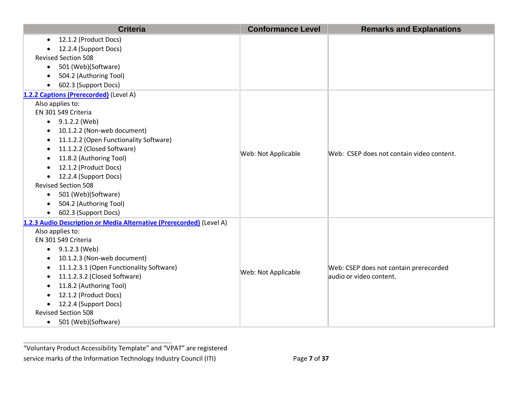| <b>Criteria</b>                                                      | <b>Conformance Level</b> | <b>Remarks and Explanations</b>           |
|----------------------------------------------------------------------|--------------------------|-------------------------------------------|
| 12.1.2 (Product Docs)<br>$\bullet$                                   |                          |                                           |
| 12.2.4 (Support Docs)<br>$\bullet$                                   |                          |                                           |
| <b>Revised Section 508</b>                                           |                          |                                           |
| 501 (Web)(Software)<br>$\bullet$                                     |                          |                                           |
| 504.2 (Authoring Tool)<br>$\bullet$                                  |                          |                                           |
| 602.3 (Support Docs)<br>$\bullet$                                    |                          |                                           |
| 1.2.2 Captions (Prerecorded) (Level A)                               |                          |                                           |
| Also applies to:                                                     |                          |                                           |
| EN 301 549 Criteria                                                  |                          |                                           |
| 9.1.2.2 (Web)<br>$\bullet$                                           |                          |                                           |
| 10.1.2.2 (Non-web document)<br>$\bullet$                             |                          |                                           |
| 11.1.2.2 (Open Functionality Software)<br>$\bullet$                  |                          |                                           |
| 11.1.2.2 (Closed Software)<br>$\bullet$                              |                          | Web: CSEP does not contain video content. |
| 11.8.2 (Authoring Tool)                                              | Web: Not Applicable      |                                           |
| 12.1.2 (Product Docs)<br>$\bullet$                                   |                          |                                           |
| 12.2.4 (Support Docs)<br>$\bullet$                                   |                          |                                           |
| <b>Revised Section 508</b>                                           |                          |                                           |
| 501 (Web)(Software)<br>$\bullet$                                     |                          |                                           |
| 504.2 (Authoring Tool)<br>$\bullet$                                  |                          |                                           |
| 602.3 (Support Docs)<br>$\bullet$                                    |                          |                                           |
| 1.2.3 Audio Description or Media Alternative (Prerecorded) (Level A) |                          |                                           |
| Also applies to:                                                     |                          |                                           |
| EN 301 549 Criteria                                                  |                          |                                           |
| $\bullet$ 9.1.2.3 (Web)                                              |                          |                                           |
| 10.1.2.3 (Non-web document)<br>$\bullet$                             |                          |                                           |
| 11.1.2.3.1 (Open Functionality Software)                             | Web: Not Applicable      | Web: CSEP does not contain prerecorded    |
| 11.1.2.3.2 (Closed Software)<br>$\bullet$                            |                          | audio or video content.                   |
| 11.8.2 (Authoring Tool)<br>$\bullet$                                 |                          |                                           |
| 12.1.2 (Product Docs)                                                |                          |                                           |
| 12.2.4 (Support Docs)<br>$\bullet$                                   |                          |                                           |
| <b>Revised Section 508</b>                                           |                          |                                           |
| 501 (Web)(Software)<br>$\bullet$                                     |                          |                                           |

"Voluntary Product Accessibility Template" and "VPAT" are registered service marks of the Information Technology Industry Council (ITI) Page **7** of **37**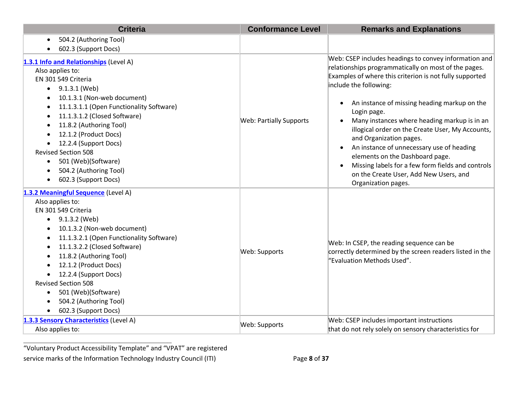| <b>Criteria</b>                                                                                                                                                                                                                                                                                                                                                                                                                                         | <b>Conformance Level</b>       | <b>Remarks and Explanations</b>                                                                                                                                                                                                                                                                                                                                                                                                                                                                                                                                                                                                                            |
|---------------------------------------------------------------------------------------------------------------------------------------------------------------------------------------------------------------------------------------------------------------------------------------------------------------------------------------------------------------------------------------------------------------------------------------------------------|--------------------------------|------------------------------------------------------------------------------------------------------------------------------------------------------------------------------------------------------------------------------------------------------------------------------------------------------------------------------------------------------------------------------------------------------------------------------------------------------------------------------------------------------------------------------------------------------------------------------------------------------------------------------------------------------------|
| 504.2 (Authoring Tool)<br>602.3 (Support Docs)                                                                                                                                                                                                                                                                                                                                                                                                          |                                |                                                                                                                                                                                                                                                                                                                                                                                                                                                                                                                                                                                                                                                            |
| 1.3.1 Info and Relationships (Level A)<br>Also applies to:<br>EN 301 549 Criteria<br>$\bullet$ 9.1.3.1 (Web)<br>10.1.3.1 (Non-web document)<br>11.1.3.1.1 (Open Functionality Software)<br>11.1.3.1.2 (Closed Software)<br>11.8.2 (Authoring Tool)<br>٠<br>12.1.2 (Product Docs)<br>12.2.4 (Support Docs)<br><b>Revised Section 508</b><br>501 (Web)(Software)<br>$\bullet$<br>504.2 (Authoring Tool)<br>$\bullet$<br>602.3 (Support Docs)<br>$\bullet$ | <b>Web: Partially Supports</b> | Web: CSEP includes headings to convey information and<br>relationships programmatically on most of the pages.<br>Examples of where this criterion is not fully supported<br>include the following:<br>An instance of missing heading markup on the<br>$\bullet$<br>Login page.<br>Many instances where heading markup is in an<br>$\bullet$<br>illogical order on the Create User, My Accounts,<br>and Organization pages.<br>An instance of unnecessary use of heading<br>$\bullet$<br>elements on the Dashboard page.<br>Missing labels for a few form fields and controls<br>$\bullet$<br>on the Create User, Add New Users, and<br>Organization pages. |
| 1.3.2 Meaningful Sequence (Level A)<br>Also applies to:<br>EN 301 549 Criteria<br>9.1.3.2 (Web)<br>$\bullet$<br>10.1.3.2 (Non-web document)<br>11.1.3.2.1 (Open Functionality Software)<br>11.1.3.2.2 (Closed Software)<br>11.8.2 (Authoring Tool)<br>12.1.2 (Product Docs)<br>12.2.4 (Support Docs)<br>$\bullet$<br><b>Revised Section 508</b><br>501 (Web)(Software)<br>$\bullet$<br>504.2 (Authoring Tool)<br>602.3 (Support Docs)                   | Web: Supports                  | Web: In CSEP, the reading sequence can be<br>correctly determined by the screen readers listed in the<br>'Evaluation Methods Used".                                                                                                                                                                                                                                                                                                                                                                                                                                                                                                                        |
| 1.3.3 Sensory Characteristics (Level A)<br>Also applies to:                                                                                                                                                                                                                                                                                                                                                                                             | Web: Supports                  | Web: CSEP includes important instructions<br>that do not rely solely on sensory characteristics for                                                                                                                                                                                                                                                                                                                                                                                                                                                                                                                                                        |

"Voluntary Product Accessibility Template" and "VPAT" are registered service marks of the Information Technology Industry Council (ITI) Page **8** of **37**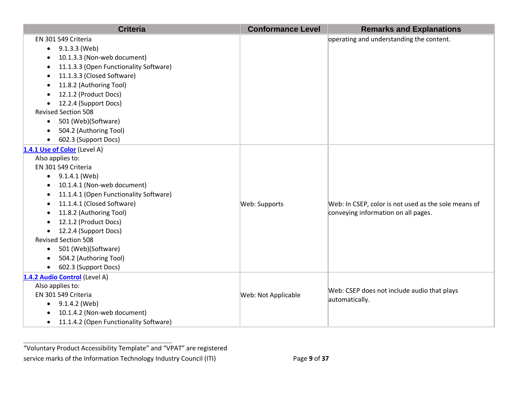| <b>Criteria</b>                                     | <b>Conformance Level</b> | <b>Remarks and Explanations</b>                      |
|-----------------------------------------------------|--------------------------|------------------------------------------------------|
| EN 301 549 Criteria                                 |                          | operating and understanding the content.             |
| 9.1.3.3 (Web)<br>$\bullet$                          |                          |                                                      |
| 10.1.3.3 (Non-web document)                         |                          |                                                      |
| 11.1.3.3 (Open Functionality Software)              |                          |                                                      |
| 11.1.3.3 (Closed Software)                          |                          |                                                      |
| 11.8.2 (Authoring Tool)                             |                          |                                                      |
| 12.1.2 (Product Docs)                               |                          |                                                      |
| 12.2.4 (Support Docs)                               |                          |                                                      |
| <b>Revised Section 508</b>                          |                          |                                                      |
| 501 (Web)(Software)<br>$\bullet$                    |                          |                                                      |
| 504.2 (Authoring Tool)                              |                          |                                                      |
| 602.3 (Support Docs)<br>$\bullet$                   |                          |                                                      |
| 1.4.1 Use of Color (Level A)                        |                          |                                                      |
| Also applies to:                                    |                          |                                                      |
| EN 301 549 Criteria                                 |                          |                                                      |
| $\bullet$ 9.1.4.1 (Web)                             |                          |                                                      |
| 10.1.4.1 (Non-web document)<br>$\bullet$            |                          |                                                      |
| 11.1.4.1 (Open Functionality Software)              |                          |                                                      |
| 11.1.4.1 (Closed Software)<br>$\bullet$             | Web: Supports            | Web: In CSEP, color is not used as the sole means of |
| 11.8.2 (Authoring Tool)<br>$\bullet$                |                          | conveying information on all pages.                  |
| 12.1.2 (Product Docs)                               |                          |                                                      |
| 12.2.4 (Support Docs)                               |                          |                                                      |
| <b>Revised Section 508</b>                          |                          |                                                      |
| 501 (Web)(Software)<br>$\bullet$                    |                          |                                                      |
| 504.2 (Authoring Tool)                              |                          |                                                      |
| 602.3 (Support Docs)                                |                          |                                                      |
| 1.4.2 Audio Control (Level A)                       |                          |                                                      |
| Also applies to:                                    |                          | Web: CSEP does not include audio that plays          |
| EN 301 549 Criteria                                 | Web: Not Applicable      | automatically.                                       |
| 9.1.4.2 (Web)                                       |                          |                                                      |
| 10.1.4.2 (Non-web document)                         |                          |                                                      |
| 11.1.4.2 (Open Functionality Software)<br>$\bullet$ |                          |                                                      |

"Voluntary Product Accessibility Template" and "VPAT" are registered service marks of the Information Technology Industry Council (ITI) Page **9** of **37**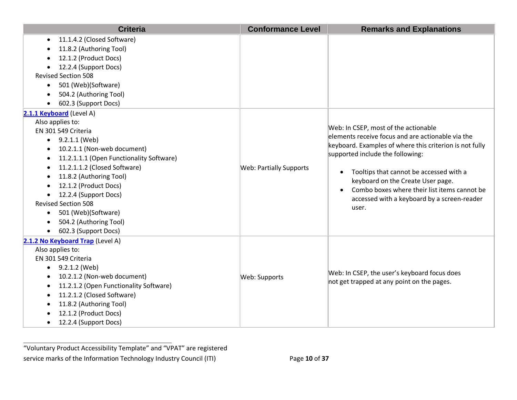| <b>Criteria</b>                                                                                                                                                                                                                                                                                                                                                                                                         | <b>Conformance Level</b>       | <b>Remarks and Explanations</b>                                                                                                                                                                                                                                                                                                                                                                            |
|-------------------------------------------------------------------------------------------------------------------------------------------------------------------------------------------------------------------------------------------------------------------------------------------------------------------------------------------------------------------------------------------------------------------------|--------------------------------|------------------------------------------------------------------------------------------------------------------------------------------------------------------------------------------------------------------------------------------------------------------------------------------------------------------------------------------------------------------------------------------------------------|
| 11.1.4.2 (Closed Software)<br>11.8.2 (Authoring Tool)<br>12.1.2 (Product Docs)<br>12.2.4 (Support Docs)<br><b>Revised Section 508</b><br>501 (Web)(Software)<br>$\bullet$<br>504.2 (Authoring Tool)<br>602.3 (Support Docs)                                                                                                                                                                                             |                                |                                                                                                                                                                                                                                                                                                                                                                                                            |
| 2.1.1 Keyboard (Level A)<br>Also applies to:<br>EN 301 549 Criteria<br>$\bullet$ 9.2.1.1 (Web)<br>10.2.1.1 (Non-web document)<br>11.2.1.1.1 (Open Functionality Software)<br>11.2.1.1.2 (Closed Software)<br>$\bullet$<br>11.8.2 (Authoring Tool)<br>12.1.2 (Product Docs)<br>12.2.4 (Support Docs)<br><b>Revised Section 508</b><br>501 (Web)(Software)<br>$\bullet$<br>504.2 (Authoring Tool)<br>602.3 (Support Docs) | <b>Web: Partially Supports</b> | Web: In CSEP, most of the actionable<br>elements receive focus and are actionable via the<br>keyboard. Examples of where this criterion is not fully<br>supported include the following:<br>Tooltips that cannot be accessed with a<br>$\bullet$<br>keyboard on the Create User page.<br>Combo boxes where their list items cannot be<br>$\bullet$<br>accessed with a keyboard by a screen-reader<br>user. |
| 2.1.2 No Keyboard Trap (Level A)<br>Also applies to:<br>EN 301 549 Criteria<br>9.2.1.2 (Web)<br>10.2.1.2 (Non-web document)<br>11.2.1.2 (Open Functionality Software)<br>11.2.1.2 (Closed Software)<br>11.8.2 (Authoring Tool)<br>12.1.2 (Product Docs)<br>12.2.4 (Support Docs)                                                                                                                                        | Web: Supports                  | Web: In CSEP, the user's keyboard focus does<br>not get trapped at any point on the pages.                                                                                                                                                                                                                                                                                                                 |

"Voluntary Product Accessibility Template" and "VPAT" are registered service marks of the Information Technology Industry Council (ITI) Page 10 of 37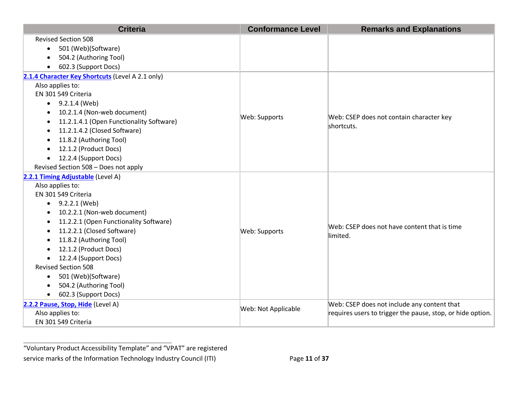| <b>Criteria</b>                                  | <b>Conformance Level</b> | <b>Remarks and Explanations</b>                            |
|--------------------------------------------------|--------------------------|------------------------------------------------------------|
| <b>Revised Section 508</b>                       |                          |                                                            |
| 501 (Web)(Software)<br>$\bullet$                 |                          |                                                            |
| 504.2 (Authoring Tool)                           |                          |                                                            |
| 602.3 (Support Docs)                             |                          |                                                            |
| 2.1.4 Character Key Shortcuts (Level A 2.1 only) |                          |                                                            |
| Also applies to:                                 |                          |                                                            |
| EN 301 549 Criteria                              |                          |                                                            |
| $\bullet$ 9.2.1.4 (Web)                          |                          |                                                            |
| 10.2.1.4 (Non-web document)                      | Web: Supports            | Web: CSEP does not contain character key                   |
| 11.2.1.4.1 (Open Functionality Software)         |                          | shortcuts.                                                 |
| 11.2.1.4.2 (Closed Software)<br>$\bullet$        |                          |                                                            |
| 11.8.2 (Authoring Tool)                          |                          |                                                            |
| 12.1.2 (Product Docs)                            |                          |                                                            |
| 12.2.4 (Support Docs)<br>$\bullet$               |                          |                                                            |
| Revised Section 508 - Does not apply             |                          |                                                            |
| 2.2.1 Timing Adjustable (Level A)                |                          |                                                            |
| Also applies to:                                 |                          |                                                            |
| EN 301 549 Criteria                              |                          |                                                            |
| 9.2.2.1 (Web)<br>$\bullet$                       |                          |                                                            |
| 10.2.2.1 (Non-web document)                      |                          | Web: CSEP does not have content that is time<br>limited.   |
| 11.2.2.1 (Open Functionality Software)           |                          |                                                            |
| 11.2.2.1 (Closed Software)                       | Web: Supports            |                                                            |
| 11.8.2 (Authoring Tool)                          |                          |                                                            |
| 12.1.2 (Product Docs)<br>$\bullet$               |                          |                                                            |
| 12.2.4 (Support Docs)<br>$\bullet$               |                          |                                                            |
| <b>Revised Section 508</b>                       |                          |                                                            |
| 501 (Web)(Software)<br>$\bullet$                 |                          |                                                            |
| 504.2 (Authoring Tool)                           |                          |                                                            |
| 602.3 (Support Docs)                             |                          |                                                            |
| 2.2.2 Pause, Stop, Hide (Level A)                | Web: Not Applicable      | Web: CSEP does not include any content that                |
| Also applies to:                                 |                          | requires users to trigger the pause, stop, or hide option. |
| EN 301 549 Criteria                              |                          |                                                            |

"Voluntary Product Accessibility Template" and "VPAT" are registered service marks of the Information Technology Industry Council (ITI) Page 11 of 37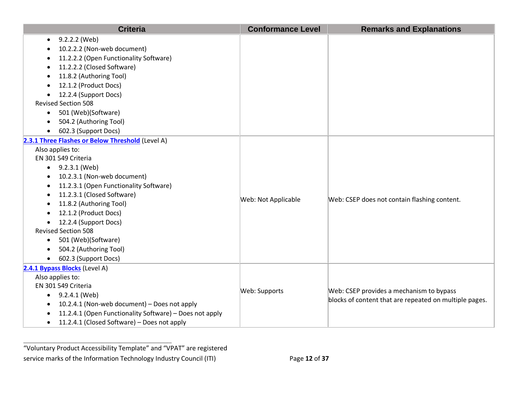| <b>Criteria</b>                                          | <b>Conformance Level</b> | <b>Remarks and Explanations</b>                                                                    |
|----------------------------------------------------------|--------------------------|----------------------------------------------------------------------------------------------------|
| 9.2.2.2 (Web)<br>$\bullet$                               |                          |                                                                                                    |
| 10.2.2.2 (Non-web document)                              |                          |                                                                                                    |
| 11.2.2.2 (Open Functionality Software)<br>$\bullet$      |                          |                                                                                                    |
| 11.2.2.2 (Closed Software)                               |                          |                                                                                                    |
| 11.8.2 (Authoring Tool)                                  |                          |                                                                                                    |
| 12.1.2 (Product Docs)                                    |                          |                                                                                                    |
| 12.2.4 (Support Docs)<br>$\bullet$                       |                          |                                                                                                    |
| <b>Revised Section 508</b>                               |                          |                                                                                                    |
| 501 (Web)(Software)<br>$\bullet$                         |                          |                                                                                                    |
| 504.2 (Authoring Tool)                                   |                          |                                                                                                    |
| 602.3 (Support Docs)<br>$\bullet$                        |                          |                                                                                                    |
| 2.3.1 Three Flashes or Below Threshold (Level A)         |                          |                                                                                                    |
| Also applies to:                                         |                          |                                                                                                    |
| EN 301 549 Criteria                                      |                          |                                                                                                    |
| $\bullet$ 9.2.3.1 (Web)                                  |                          |                                                                                                    |
| 10.2.3.1 (Non-web document)                              |                          |                                                                                                    |
| 11.2.3.1 (Open Functionality Software)                   |                          |                                                                                                    |
| 11.2.3.1 (Closed Software)                               | Web: Not Applicable      | Web: CSEP does not contain flashing content.                                                       |
| 11.8.2 (Authoring Tool)                                  |                          |                                                                                                    |
| 12.1.2 (Product Docs)                                    |                          |                                                                                                    |
| 12.2.4 (Support Docs)                                    |                          |                                                                                                    |
| <b>Revised Section 508</b>                               |                          |                                                                                                    |
| 501 (Web)(Software)<br>$\bullet$                         |                          |                                                                                                    |
| 504.2 (Authoring Tool)<br>$\bullet$                      |                          |                                                                                                    |
| 602.3 (Support Docs)                                     |                          |                                                                                                    |
| 2.4.1 Bypass Blocks (Level A)                            |                          |                                                                                                    |
| Also applies to:                                         |                          |                                                                                                    |
| EN 301 549 Criteria                                      | Web: Supports            | Web: CSEP provides a mechanism to bypass<br>blocks of content that are repeated on multiple pages. |
| $\bullet$ 9.2.4.1 (Web)                                  |                          |                                                                                                    |
| 10.2.4.1 (Non-web document) - Does not apply             |                          |                                                                                                    |
| 11.2.4.1 (Open Functionality Software) - Does not apply  |                          |                                                                                                    |
| 11.2.4.1 (Closed Software) - Does not apply<br>$\bullet$ |                          |                                                                                                    |

"Voluntary Product Accessibility Template" and "VPAT" are registered service marks of the Information Technology Industry Council (ITI) Page 12 of 37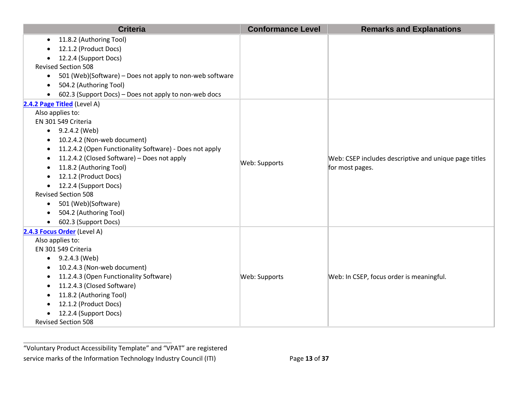| <b>Criteria</b>                                                       | <b>Conformance Level</b> | <b>Remarks and Explanations</b>                                          |
|-----------------------------------------------------------------------|--------------------------|--------------------------------------------------------------------------|
| 11.8.2 (Authoring Tool)<br>$\bullet$                                  |                          |                                                                          |
| 12.1.2 (Product Docs)                                                 |                          |                                                                          |
| 12.2.4 (Support Docs)                                                 |                          |                                                                          |
| <b>Revised Section 508</b>                                            |                          |                                                                          |
| 501 (Web)(Software) - Does not apply to non-web software<br>$\bullet$ |                          |                                                                          |
| 504.2 (Authoring Tool)                                                |                          |                                                                          |
| 602.3 (Support Docs) - Does not apply to non-web docs                 |                          |                                                                          |
| 2.4.2 Page Titled (Level A)                                           |                          |                                                                          |
| Also applies to:                                                      |                          |                                                                          |
| EN 301 549 Criteria                                                   |                          |                                                                          |
| 9.2.4.2 (Web)<br>$\bullet$                                            |                          |                                                                          |
| 10.2.4.2 (Non-web document)                                           |                          | Web: CSEP includes descriptive and unique page titles<br>for most pages. |
| 11.2.4.2 (Open Functionality Software) - Does not apply               |                          |                                                                          |
| 11.2.4.2 (Closed Software) - Does not apply                           | Web: Supports            |                                                                          |
| 11.8.2 (Authoring Tool)<br>$\bullet$                                  |                          |                                                                          |
| 12.1.2 (Product Docs)                                                 |                          |                                                                          |
| 12.2.4 (Support Docs)                                                 |                          |                                                                          |
| <b>Revised Section 508</b>                                            |                          |                                                                          |
| 501 (Web)(Software)<br>$\bullet$                                      |                          |                                                                          |
| 504.2 (Authoring Tool)                                                |                          |                                                                          |
| 602.3 (Support Docs)                                                  |                          |                                                                          |
| 2.4.3 Focus Order (Level A)                                           |                          |                                                                          |
| Also applies to:                                                      |                          |                                                                          |
| EN 301 549 Criteria                                                   |                          |                                                                          |
| 9.2.4.3 (Web)<br>$\bullet$                                            |                          |                                                                          |
| 10.2.4.3 (Non-web document)                                           |                          |                                                                          |
| 11.2.4.3 (Open Functionality Software)                                | Web: Supports            | Web: In CSEP, focus order is meaningful.                                 |
| 11.2.4.3 (Closed Software)                                            |                          |                                                                          |
| 11.8.2 (Authoring Tool)                                               |                          |                                                                          |
| 12.1.2 (Product Docs)                                                 |                          |                                                                          |
| 12.2.4 (Support Docs)                                                 |                          |                                                                          |
| <b>Revised Section 508</b>                                            |                          |                                                                          |

"Voluntary Product Accessibility Template" and "VPAT" are registered service marks of the Information Technology Industry Council (ITI) Page 13 of 37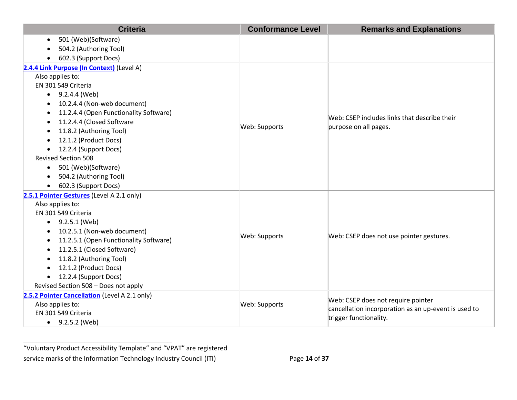| <b>Criteria</b>                               | <b>Conformance Level</b> | <b>Remarks and Explanations</b>                                                |
|-----------------------------------------------|--------------------------|--------------------------------------------------------------------------------|
| 501 (Web)(Software)<br>$\bullet$              |                          |                                                                                |
| 504.2 (Authoring Tool)                        |                          |                                                                                |
| 602.3 (Support Docs)                          |                          |                                                                                |
| 2.4.4 Link Purpose (In Context) (Level A)     |                          |                                                                                |
| Also applies to:                              |                          |                                                                                |
| EN 301 549 Criteria                           |                          |                                                                                |
| $\bullet$ 9.2.4.4 (Web)                       |                          |                                                                                |
| 10.2.4.4 (Non-web document)                   |                          |                                                                                |
| 11.2.4.4 (Open Functionality Software)        |                          |                                                                                |
| 11.2.4.4 (Closed Software                     |                          | Web: CSEP includes links that describe their                                   |
| 11.8.2 (Authoring Tool)                       | Web: Supports            | purpose on all pages.                                                          |
| 12.1.2 (Product Docs)                         |                          |                                                                                |
| 12.2.4 (Support Docs)                         |                          |                                                                                |
| <b>Revised Section 508</b>                    |                          |                                                                                |
| 501 (Web)(Software)<br>$\bullet$              |                          |                                                                                |
| 504.2 (Authoring Tool)                        |                          |                                                                                |
| 602.3 (Support Docs)                          |                          |                                                                                |
| 2.5.1 Pointer Gestures (Level A 2.1 only)     |                          |                                                                                |
| Also applies to:                              |                          | Web: CSEP does not use pointer gestures.                                       |
| EN 301 549 Criteria                           |                          |                                                                                |
| 9.2.5.1 (Web)                                 |                          |                                                                                |
| 10.2.5.1 (Non-web document)                   |                          |                                                                                |
| 11.2.5.1 (Open Functionality Software)        | Web: Supports            |                                                                                |
| 11.2.5.1 (Closed Software)                    |                          |                                                                                |
| 11.8.2 (Authoring Tool)                       |                          |                                                                                |
| 12.1.2 (Product Docs)                         |                          |                                                                                |
| 12.2.4 (Support Docs)<br>$\bullet$            |                          |                                                                                |
| Revised Section 508 - Does not apply          |                          |                                                                                |
| 2.5.2 Pointer Cancellation (Level A 2.1 only) |                          | Web: CSEP does not require pointer                                             |
| Also applies to:                              | Web: Supports            | cancellation incorporation as an up-event is used to<br>trigger functionality. |
| EN 301 549 Criteria                           |                          |                                                                                |
| $-9.2.5.2$ (Web)                              |                          |                                                                                |

"Voluntary Product Accessibility Template" and "VPAT" are registered service marks of the Information Technology Industry Council (ITI) Page 14 of 37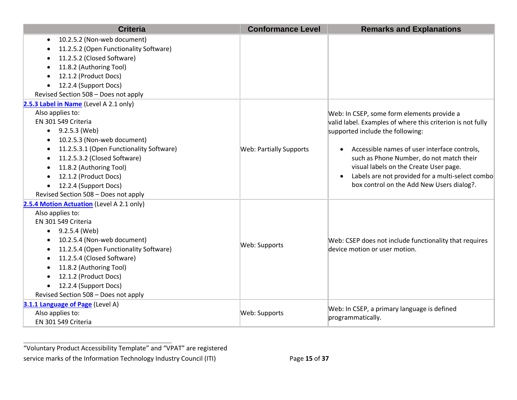| <b>Criteria</b>                                                                                                                                                                                                                                                                                                                                 | <b>Conformance Level</b>       | <b>Remarks and Explanations</b>                                                                                                                                                                                                                                                                                                                                                                               |
|-------------------------------------------------------------------------------------------------------------------------------------------------------------------------------------------------------------------------------------------------------------------------------------------------------------------------------------------------|--------------------------------|---------------------------------------------------------------------------------------------------------------------------------------------------------------------------------------------------------------------------------------------------------------------------------------------------------------------------------------------------------------------------------------------------------------|
| 10.2.5.2 (Non-web document)<br>$\bullet$<br>11.2.5.2 (Open Functionality Software)<br>11.2.5.2 (Closed Software)<br>11.8.2 (Authoring Tool)<br>12.1.2 (Product Docs)<br>12.2.4 (Support Docs)<br>Revised Section 508 - Does not apply                                                                                                           |                                |                                                                                                                                                                                                                                                                                                                                                                                                               |
| 2.5.3 Label in Name (Level A 2.1 only)<br>Also applies to:<br>EN 301 549 Criteria<br>9.2.5.3 (Web)<br>$\bullet$<br>10.2.5.3 (Non-web document)<br>11.2.5.3.1 (Open Functionality Software)<br>11.2.5.3.2 (Closed Software)<br>11.8.2 (Authoring Tool)<br>12.1.2 (Product Docs)<br>12.2.4 (Support Docs)<br>Revised Section 508 - Does not apply | <b>Web: Partially Supports</b> | Web: In CSEP, some form elements provide a<br>valid label. Examples of where this criterion is not fully<br>supported include the following:<br>Accessible names of user interface controls,<br>$\bullet$<br>such as Phone Number, do not match their<br>visual labels on the Create User page.<br>Labels are not provided for a multi-select combo<br>$\bullet$<br>box control on the Add New Users dialog?. |
| 2.5.4 Motion Actuation (Level A 2.1 only)<br>Also applies to:<br>EN 301 549 Criteria<br>9.2.5.4 (Web)<br>$\bullet$<br>10.2.5.4 (Non-web document)<br>11.2.5.4 (Open Functionality Software)<br>11.2.5.4 (Closed Software)<br>11.8.2 (Authoring Tool)<br>12.1.2 (Product Docs)<br>12.2.4 (Support Docs)<br>Revised Section 508 - Does not apply  | Web: Supports                  | Web: CSEP does not include functionality that requires<br>device motion or user motion.                                                                                                                                                                                                                                                                                                                       |
| 3.1.1 Language of Page (Level A)<br>Also applies to:<br>EN 301 549 Criteria                                                                                                                                                                                                                                                                     | Web: Supports                  | Web: In CSEP, a primary language is defined<br>programmatically.                                                                                                                                                                                                                                                                                                                                              |

<sup>&</sup>quot;Voluntary Product Accessibility Template" and "VPAT" are registered service marks of the Information Technology Industry Council (ITI) Page 15 of 37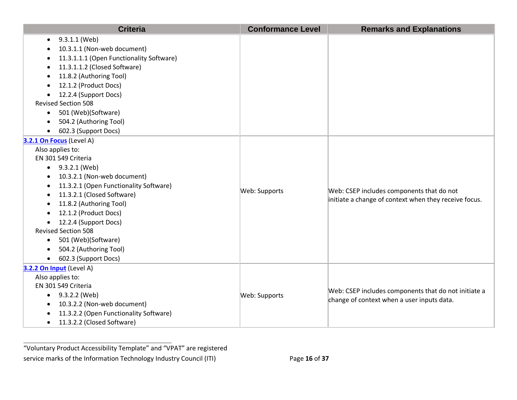| <b>Criteria</b>                                                                                                                                                                                                                                                                                                                                                                                                        | <b>Conformance Level</b> | <b>Remarks and Explanations</b>                                                                    |
|------------------------------------------------------------------------------------------------------------------------------------------------------------------------------------------------------------------------------------------------------------------------------------------------------------------------------------------------------------------------------------------------------------------------|--------------------------|----------------------------------------------------------------------------------------------------|
| 9.3.1.1 (Web)<br>$\bullet$<br>10.3.1.1 (Non-web document)<br>11.3.1.1.1 (Open Functionality Software)<br>$\bullet$<br>11.3.1.1.2 (Closed Software)<br>11.8.2 (Authoring Tool)<br>12.1.2 (Product Docs)<br>12.2.4 (Support Docs)<br>$\bullet$<br><b>Revised Section 508</b><br>501 (Web)(Software)<br>$\bullet$<br>504.2 (Authoring Tool)<br>602.3 (Support Docs)<br>$\bullet$                                          |                          |                                                                                                    |
| 3.2.1 On Focus (Level A)<br>Also applies to:<br>EN 301 549 Criteria<br>9.3.2.1 (Web)<br>$\bullet$<br>10.3.2.1 (Non-web document)<br>11.3.2.1 (Open Functionality Software)<br>11.3.2.1 (Closed Software)<br>11.8.2 (Authoring Tool)<br>12.1.2 (Product Docs)<br>12.2.4 (Support Docs)<br><b>Revised Section 508</b><br>501 (Web)(Software)<br>$\bullet$<br>504.2 (Authoring Tool)<br>$\bullet$<br>602.3 (Support Docs) | Web: Supports            | Web: CSEP includes components that do not<br>initiate a change of context when they receive focus. |
| 3.2.2 On Input (Level A)<br>Also applies to:<br>EN 301 549 Criteria<br>$\bullet$ 9.3.2.2 (Web)<br>10.3.2.2 (Non-web document)<br>11.3.2.2 (Open Functionality Software)<br>11.3.2.2 (Closed Software)<br>$\bullet$                                                                                                                                                                                                     | Web: Supports            | Web: CSEP includes components that do not initiate a<br>change of context when a user inputs data. |

"Voluntary Product Accessibility Template" and "VPAT" are registered service marks of the Information Technology Industry Council (ITI) Page 16 of 37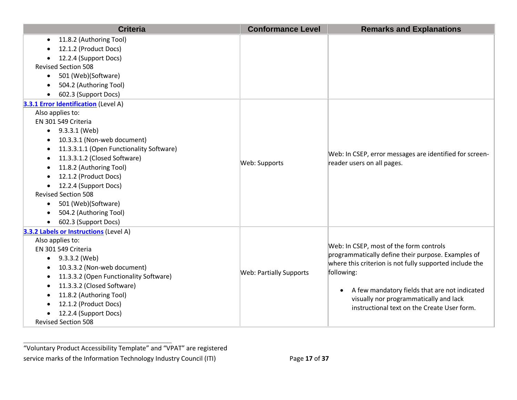| <b>Criteria</b>                                     | <b>Conformance Level</b>       | <b>Remarks and Explanations</b>                                                                                                                                                                                                                                                    |
|-----------------------------------------------------|--------------------------------|------------------------------------------------------------------------------------------------------------------------------------------------------------------------------------------------------------------------------------------------------------------------------------|
| 11.8.2 (Authoring Tool)<br>$\bullet$                |                                |                                                                                                                                                                                                                                                                                    |
| 12.1.2 (Product Docs)                               |                                |                                                                                                                                                                                                                                                                                    |
| 12.2.4 (Support Docs)                               |                                |                                                                                                                                                                                                                                                                                    |
| <b>Revised Section 508</b>                          |                                |                                                                                                                                                                                                                                                                                    |
| 501 (Web)(Software)<br>$\bullet$                    |                                |                                                                                                                                                                                                                                                                                    |
| 504.2 (Authoring Tool)                              |                                |                                                                                                                                                                                                                                                                                    |
| 602.3 (Support Docs)                                |                                |                                                                                                                                                                                                                                                                                    |
| 3.3.1 Error Identification (Level A)                |                                |                                                                                                                                                                                                                                                                                    |
| Also applies to:                                    |                                |                                                                                                                                                                                                                                                                                    |
| EN 301 549 Criteria                                 |                                |                                                                                                                                                                                                                                                                                    |
| $\bullet$ 9.3.3.1 (Web)                             |                                | Web: In CSEP, error messages are identified for screen-<br>reader users on all pages.                                                                                                                                                                                              |
| 10.3.3.1 (Non-web document)                         | Web: Supports                  |                                                                                                                                                                                                                                                                                    |
| 11.3.3.1.1 (Open Functionality Software)            |                                |                                                                                                                                                                                                                                                                                    |
| 11.3.3.1.2 (Closed Software)                        |                                |                                                                                                                                                                                                                                                                                    |
| 11.8.2 (Authoring Tool)                             |                                |                                                                                                                                                                                                                                                                                    |
| 12.1.2 (Product Docs)                               |                                |                                                                                                                                                                                                                                                                                    |
| 12.2.4 (Support Docs)                               |                                |                                                                                                                                                                                                                                                                                    |
| <b>Revised Section 508</b>                          |                                |                                                                                                                                                                                                                                                                                    |
| 501 (Web)(Software)<br>$\bullet$                    |                                |                                                                                                                                                                                                                                                                                    |
| 504.2 (Authoring Tool)                              |                                |                                                                                                                                                                                                                                                                                    |
| 602.3 (Support Docs)                                |                                |                                                                                                                                                                                                                                                                                    |
| 3.3.2 Labels or Instructions (Level A)              |                                |                                                                                                                                                                                                                                                                                    |
| Also applies to:                                    |                                | Web: In CSEP, most of the form controls                                                                                                                                                                                                                                            |
| EN 301 549 Criteria                                 |                                | programmatically define their purpose. Examples of<br>where this criterion is not fully supported include the<br>following:<br>A few mandatory fields that are not indicated<br>$\bullet$<br>visually nor programmatically and lack<br>instructional text on the Create User form. |
| 9.3.3.2 (Web)<br>٠                                  |                                |                                                                                                                                                                                                                                                                                    |
| 10.3.3.2 (Non-web document)                         | <b>Web: Partially Supports</b> |                                                                                                                                                                                                                                                                                    |
| 11.3.3.2 (Open Functionality Software)<br>$\bullet$ |                                |                                                                                                                                                                                                                                                                                    |
| 11.3.3.2 (Closed Software)                          |                                |                                                                                                                                                                                                                                                                                    |
| 11.8.2 (Authoring Tool)                             |                                |                                                                                                                                                                                                                                                                                    |
| 12.1.2 (Product Docs)                               |                                |                                                                                                                                                                                                                                                                                    |
| 12.2.4 (Support Docs)                               |                                |                                                                                                                                                                                                                                                                                    |
| <b>Revised Section 508</b>                          |                                |                                                                                                                                                                                                                                                                                    |

"Voluntary Product Accessibility Template" and "VPAT" are registered service marks of the Information Technology Industry Council (ITI) Page 17 of 37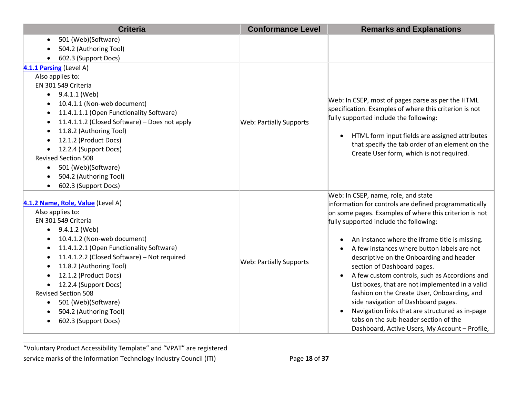| <b>Criteria</b>                                                                                                                                                                                                                                                                                                                                                                                                                                                              | <b>Conformance Level</b>       | <b>Remarks and Explanations</b>                                                                                                                                                                                                                                                                                                                                                                                                                                                                                                                                                                                                                                                                                      |
|------------------------------------------------------------------------------------------------------------------------------------------------------------------------------------------------------------------------------------------------------------------------------------------------------------------------------------------------------------------------------------------------------------------------------------------------------------------------------|--------------------------------|----------------------------------------------------------------------------------------------------------------------------------------------------------------------------------------------------------------------------------------------------------------------------------------------------------------------------------------------------------------------------------------------------------------------------------------------------------------------------------------------------------------------------------------------------------------------------------------------------------------------------------------------------------------------------------------------------------------------|
| 501 (Web)(Software)<br>504.2 (Authoring Tool)                                                                                                                                                                                                                                                                                                                                                                                                                                |                                |                                                                                                                                                                                                                                                                                                                                                                                                                                                                                                                                                                                                                                                                                                                      |
| 602.3 (Support Docs)                                                                                                                                                                                                                                                                                                                                                                                                                                                         |                                |                                                                                                                                                                                                                                                                                                                                                                                                                                                                                                                                                                                                                                                                                                                      |
| 4.1.1 Parsing (Level A)<br>Also applies to:<br>EN 301 549 Criteria<br>9.4.1.1 (Web)<br>$\bullet$<br>10.4.1.1 (Non-web document)<br>11.4.1.1.1 (Open Functionality Software)<br>$\bullet$<br>11.4.1.1.2 (Closed Software) - Does not apply<br>$\bullet$<br>11.8.2 (Authoring Tool)<br>$\bullet$<br>12.1.2 (Product Docs)<br>12.2.4 (Support Docs)<br><b>Revised Section 508</b><br>501 (Web)(Software)<br>$\bullet$<br>504.2 (Authoring Tool)<br>602.3 (Support Docs)         | <b>Web: Partially Supports</b> | Web: In CSEP, most of pages parse as per the HTML<br>specification. Examples of where this criterion is not<br>fully supported include the following:<br>HTML form input fields are assigned attributes<br>$\bullet$<br>that specify the tab order of an element on the<br>Create User form, which is not required.                                                                                                                                                                                                                                                                                                                                                                                                  |
| 4.1.2 Name, Role, Value (Level A)<br>Also applies to:<br>EN 301 549 Criteria<br>9.4.1.2 (Web)<br>$\bullet$<br>10.4.1.2 (Non-web document)<br>11.4.1.2.1 (Open Functionality Software)<br>$\bullet$<br>11.4.1.2.2 (Closed Software) - Not required<br>$\bullet$<br>11.8.2 (Authoring Tool)<br>$\bullet$<br>12.1.2 (Product Docs)<br>12.2.4 (Support Docs)<br><b>Revised Section 508</b><br>501 (Web)(Software)<br>$\bullet$<br>504.2 (Authoring Tool)<br>602.3 (Support Docs) | <b>Web: Partially Supports</b> | Web: In CSEP, name, role, and state<br>information for controls are defined programmatically<br>on some pages. Examples of where this criterion is not<br>fully supported include the following:<br>An instance where the iframe title is missing.<br>A few instances where button labels are not<br>descriptive on the Onboarding and header<br>section of Dashboard pages.<br>A few custom controls, such as Accordions and<br>List boxes, that are not implemented in a valid<br>fashion on the Create User, Onboarding, and<br>side navigation of Dashboard pages.<br>Navigation links that are structured as in-page<br>tabs on the sub-header section of the<br>Dashboard, Active Users, My Account - Profile, |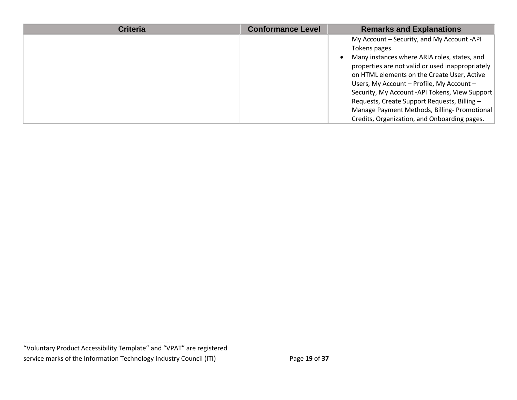| <b>Criteria</b> | <b>Conformance Level</b> | <b>Remarks and Explanations</b>                                                                                                                                                                                                                                                                                                                                                                                                                              |
|-----------------|--------------------------|--------------------------------------------------------------------------------------------------------------------------------------------------------------------------------------------------------------------------------------------------------------------------------------------------------------------------------------------------------------------------------------------------------------------------------------------------------------|
|                 |                          | My Account - Security, and My Account -API<br>Tokens pages.<br>Many instances where ARIA roles, states, and<br>properties are not valid or used inappropriately<br>on HTML elements on the Create User, Active<br>Users, My Account - Profile, My Account -<br>Security, My Account -API Tokens, View Support<br>Requests, Create Support Requests, Billing -<br>Manage Payment Methods, Billing-Promotional<br>Credits, Organization, and Onboarding pages. |

<sup>&</sup>quot;Voluntary Product Accessibility Template" and "VPAT" are registered service marks of the Information Technology Industry Council (ITI) Page 19 of 37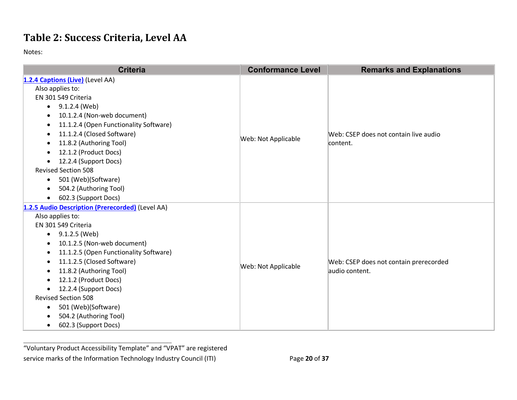#### **Table 2: Success Criteria, Level AA**

Notes:

| <b>Criteria</b>                                                                    | <b>Conformance Level</b> | <b>Remarks and Explanations</b>                           |
|------------------------------------------------------------------------------------|--------------------------|-----------------------------------------------------------|
| 1.2.4 Captions (Live) (Level AA)                                                   |                          |                                                           |
| Also applies to:                                                                   |                          |                                                           |
| EN 301 549 Criteria                                                                |                          |                                                           |
| 9.1.2.4 (Web)<br>$\bullet$                                                         |                          |                                                           |
| 10.1.2.4 (Non-web document)<br>$\bullet$                                           |                          |                                                           |
| 11.1.2.4 (Open Functionality Software)                                             |                          |                                                           |
| 11.1.2.4 (Closed Software)                                                         | Web: Not Applicable      | Web: CSEP does not contain live audio                     |
| 11.8.2 (Authoring Tool)<br>$\bullet$                                               |                          | content.                                                  |
| 12.1.2 (Product Docs)                                                              |                          |                                                           |
| 12.2.4 (Support Docs)<br>$\bullet$<br><b>Revised Section 508</b>                   |                          |                                                           |
|                                                                                    |                          |                                                           |
| 501 (Web)(Software)<br>$\bullet$                                                   |                          |                                                           |
| 504.2 (Authoring Tool)                                                             |                          |                                                           |
| 602.3 (Support Docs)<br>$\bullet$                                                  |                          |                                                           |
| 1.2.5 Audio Description (Prerecorded) (Level AA)                                   |                          |                                                           |
| Also applies to:<br>EN 301 549 Criteria                                            |                          |                                                           |
|                                                                                    |                          |                                                           |
| 9.1.2.5 (Web)<br>$\bullet$                                                         |                          |                                                           |
| 10.1.2.5 (Non-web document)<br>$\bullet$<br>11.1.2.5 (Open Functionality Software) |                          |                                                           |
| $\bullet$<br>11.1.2.5 (Closed Software)                                            |                          |                                                           |
| $\bullet$<br>11.8.2 (Authoring Tool)                                               | Web: Not Applicable      | Web: CSEP does not contain prerecorded<br>laudio content. |
| ٠<br>12.1.2 (Product Docs)                                                         |                          |                                                           |
|                                                                                    |                          |                                                           |
| 12.2.4 (Support Docs)<br>$\bullet$<br><b>Revised Section 508</b>                   |                          |                                                           |
| 501 (Web)(Software)<br>$\bullet$                                                   |                          |                                                           |
| 504.2 (Authoring Tool)                                                             |                          |                                                           |
| 602.3 (Support Docs)<br>$\bullet$                                                  |                          |                                                           |

"Voluntary Product Accessibility Template" and "VPAT" are registered service marks of the Information Technology Industry Council (ITI) Page 20 of 37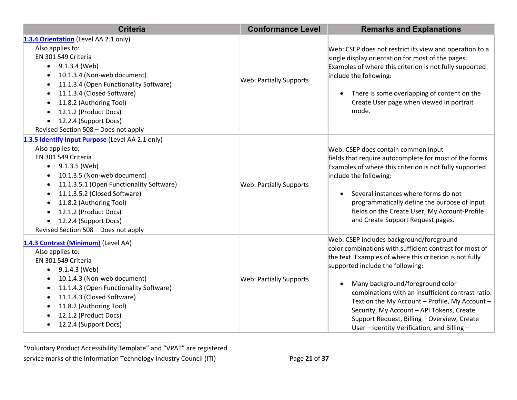| <b>Criteria</b>                                                                                                                                                                                                                                                                                                                                                                                  | <b>Conformance Level</b>       | <b>Remarks and Explanations</b>                                                                                                                                                                                                                                                                                                                                                                                                                                                          |
|--------------------------------------------------------------------------------------------------------------------------------------------------------------------------------------------------------------------------------------------------------------------------------------------------------------------------------------------------------------------------------------------------|--------------------------------|------------------------------------------------------------------------------------------------------------------------------------------------------------------------------------------------------------------------------------------------------------------------------------------------------------------------------------------------------------------------------------------------------------------------------------------------------------------------------------------|
| 1.3.4 Orientation (Level AA 2.1 only)<br>Also applies to:<br>EN 301 549 Criteria<br>9.1.3.4 (Web)<br>$\bullet$<br>10.1.3.4 (Non-web document)<br>$\bullet$<br>11.1.3.4 (Open Functionality Software)<br>$\bullet$<br>11.1.3.4 (Closed Software)<br>$\bullet$<br>11.8.2 (Authoring Tool)<br>12.1.2 (Product Docs)<br>12.2.4 (Support Docs)<br>$\bullet$<br>Revised Section 508 - Does not apply   | <b>Web: Partially Supports</b> | Web: CSEP does not restrict its view and operation to a<br>single display orientation for most of the pages.<br>Examples of where this criterion is not fully supported<br>include the following:<br>There is some overlapping of content on the<br>Create User page when viewed in portrait<br>mode.                                                                                                                                                                                    |
| 1.3.5 Identify Input Purpose (Level AA 2.1 only)<br>Also applies to:<br>EN 301 549 Criteria<br>9.1.3.5 (Web)<br>$\bullet$<br>10.1.3.5 (Non-web document)<br>$\bullet$<br>11.1.3.5.1 (Open Functionality Software)<br>$\bullet$<br>11.1.3.5.2 (Closed Software)<br>$\bullet$<br>11.8.2 (Authoring Tool)<br>12.1.2 (Product Docs)<br>12.2.4 (Support Docs)<br>Revised Section 508 - Does not apply | <b>Web: Partially Supports</b> | Web: CSEP does contain common input<br>fields that require autocomplete for most of the forms.<br>Examples of where this criterion is not fully supported<br>include the following:<br>Several instances where forms do not<br>programmatically define the purpose of input<br>fields on the Create User, My Account-Profile<br>and Create Support Request pages.                                                                                                                        |
| 1.4.3 Contrast (Minimum) (Level AA)<br>Also applies to:<br>EN 301 549 Criteria<br>9.1.4.3 (Web)<br>$\bullet$<br>10.1.4.3 (Non-web document)<br>11.1.4.3 (Open Functionality Software)<br>$\bullet$<br>11.1.4.3 (Closed Software)<br>$\bullet$<br>11.8.2 (Authoring Tool)<br>12.1.2 (Product Docs)<br>12.2.4 (Support Docs)                                                                       | <b>Web: Partially Supports</b> | Web: CSEP includes background/foreground<br>color combinations with sufficient contrast for most of<br>the text. Examples of where this criterion is not fully<br>supported include the following:<br>Many background/foreground color<br>combinations with an insufficient contrast ratio.<br>Text on the My Account - Profile, My Account -<br>Security, My Account - API Tokens, Create<br>Support Request, Billing - Overview, Create<br>User - Identity Verification, and Billing - |

"Voluntary Product Accessibility Template" and "VPAT" are registered service marks of the Information Technology Industry Council (ITI) Page 21 of 37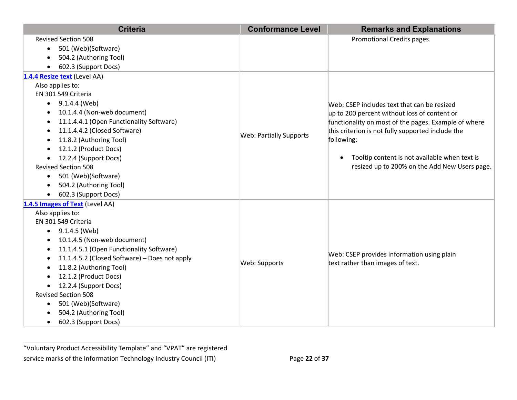| <b>Criteria</b>                                                | <b>Conformance Level</b>       | <b>Remarks and Explanations</b>                            |
|----------------------------------------------------------------|--------------------------------|------------------------------------------------------------|
| <b>Revised Section 508</b><br>501 (Web)(Software)<br>$\bullet$ |                                | Promotional Credits pages.                                 |
| 504.2 (Authoring Tool)                                         |                                |                                                            |
| 602.3 (Support Docs)                                           |                                |                                                            |
| 1.4.4 Resize text (Level AA)                                   |                                |                                                            |
| Also applies to:                                               |                                |                                                            |
| EN 301 549 Criteria                                            |                                |                                                            |
| $\bullet$ 9.1.4.4 (Web)                                        |                                | Web: CSEP includes text that can be resized                |
| 10.1.4.4 (Non-web document)                                    |                                | up to 200 percent without loss of content or               |
| 11.1.4.4.1 (Open Functionality Software)                       |                                | functionality on most of the pages. Example of where       |
| 11.1.4.4.2 (Closed Software)                                   |                                | this criterion is not fully supported include the          |
| 11.8.2 (Authoring Tool)                                        | <b>Web: Partially Supports</b> | following:                                                 |
| 12.1.2 (Product Docs)                                          |                                |                                                            |
| 12.2.4 (Support Docs)                                          |                                | Tooltip content is not available when text is<br>$\bullet$ |
| <b>Revised Section 508</b>                                     |                                | resized up to 200% on the Add New Users page.              |
| 501 (Web)(Software)<br>$\bullet$                               |                                |                                                            |
| 504.2 (Authoring Tool)                                         |                                |                                                            |
| 602.3 (Support Docs)                                           |                                |                                                            |
| 1.4.5 Images of Text (Level AA)                                |                                |                                                            |
| Also applies to:                                               |                                |                                                            |
| EN 301 549 Criteria                                            |                                |                                                            |
| $\bullet$ 9.1.4.5 (Web)                                        |                                |                                                            |
| 10.1.4.5 (Non-web document)                                    |                                |                                                            |
| 11.1.4.5.1 (Open Functionality Software)                       |                                | Web: CSEP provides information using plain                 |
| 11.1.4.5.2 (Closed Software) - Does not apply                  | Web: Supports                  | text rather than images of text.                           |
| 11.8.2 (Authoring Tool)                                        |                                |                                                            |
| 12.1.2 (Product Docs)                                          |                                |                                                            |
| 12.2.4 (Support Docs)                                          |                                |                                                            |
| <b>Revised Section 508</b>                                     |                                |                                                            |
| 501 (Web)(Software)<br>$\bullet$                               |                                |                                                            |
| 504.2 (Authoring Tool)                                         |                                |                                                            |
| 602.3 (Support Docs)<br>$\bullet$                              |                                |                                                            |

"Voluntary Product Accessibility Template" and "VPAT" are registered service marks of the Information Technology Industry Council (ITI) Page 22 of 37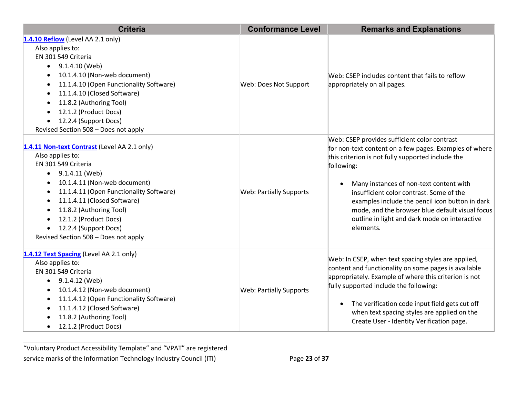| <b>Criteria</b>                                                                                                                                                                                                                                                                                                                                                      | <b>Conformance Level</b>       | <b>Remarks and Explanations</b>                                                                                                                                                                                                                                                                                                                                                                                                      |
|----------------------------------------------------------------------------------------------------------------------------------------------------------------------------------------------------------------------------------------------------------------------------------------------------------------------------------------------------------------------|--------------------------------|--------------------------------------------------------------------------------------------------------------------------------------------------------------------------------------------------------------------------------------------------------------------------------------------------------------------------------------------------------------------------------------------------------------------------------------|
| 1.4.10 Reflow (Level AA 2.1 only)<br>Also applies to:<br>EN 301 549 Criteria<br>9.1.4.10 (Web)<br>$\bullet$<br>10.1.4.10 (Non-web document)<br>11.1.4.10 (Open Functionality Software)<br>11.1.4.10 (Closed Software)<br>$\bullet$<br>11.8.2 (Authoring Tool)<br>$\bullet$<br>12.1.2 (Product Docs)<br>12.2.4 (Support Docs)<br>Revised Section 508 - Does not apply | Web: Does Not Support          | Web: CSEP includes content that fails to reflow<br>appropriately on all pages.                                                                                                                                                                                                                                                                                                                                                       |
| 1.4.11 Non-text Contrast (Level AA 2.1 only)<br>Also applies to:<br>EN 301 549 Criteria<br>9.1.4.11 (Web)<br>$\bullet$<br>10.1.4.11 (Non-web document)<br>11.1.4.11 (Open Functionality Software)<br>11.1.4.11 (Closed Software)<br>11.8.2 (Authoring Tool)<br>$\bullet$<br>12.1.2 (Product Docs)<br>12.2.4 (Support Docs)<br>Revised Section 508 - Does not apply   | <b>Web: Partially Supports</b> | Web: CSEP provides sufficient color contrast<br>for non-text content on a few pages. Examples of where<br>this criterion is not fully supported include the<br>following:<br>Many instances of non-text content with<br>insufficient color contrast. Some of the<br>examples include the pencil icon button in dark<br>mode, and the browser blue default visual focus<br>outline in light and dark mode on interactive<br>elements. |
| 1.4.12 Text Spacing (Level AA 2.1 only)<br>Also applies to:<br>EN 301 549 Criteria<br>$\bullet$ 9.1.4.12 (Web)<br>10.1.4.12 (Non-web document)<br>11.1.4.12 (Open Functionality Software)<br>$\bullet$<br>11.1.4.12 (Closed Software)<br>$\bullet$<br>11.8.2 (Authoring Tool)<br>12.1.2 (Product Docs)                                                               | <b>Web: Partially Supports</b> | Web: In CSEP, when text spacing styles are applied,<br>content and functionality on some pages is available<br>appropriately. Example of where this criterion is not<br>fully supported include the following:<br>The verification code input field gets cut off<br>when text spacing styles are applied on the<br>Create User - Identity Verification page.                                                                         |

"Voluntary Product Accessibility Template" and "VPAT" are registered service marks of the Information Technology Industry Council (ITI) Page 23 of 37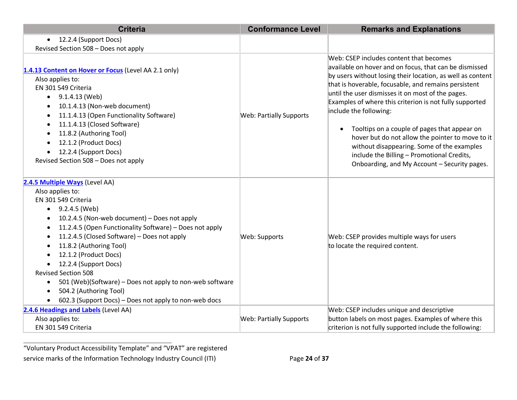| <b>Criteria</b>                                                                                                                                                                                                                                                                                                                                                                                                                                                                                                                                                 | <b>Conformance Level</b>       | <b>Remarks and Explanations</b>                                                                                                                                                                                                                                                                                                                                                                                                                                                                                                                                                                                                |
|-----------------------------------------------------------------------------------------------------------------------------------------------------------------------------------------------------------------------------------------------------------------------------------------------------------------------------------------------------------------------------------------------------------------------------------------------------------------------------------------------------------------------------------------------------------------|--------------------------------|--------------------------------------------------------------------------------------------------------------------------------------------------------------------------------------------------------------------------------------------------------------------------------------------------------------------------------------------------------------------------------------------------------------------------------------------------------------------------------------------------------------------------------------------------------------------------------------------------------------------------------|
| 12.2.4 (Support Docs)<br>$\bullet$<br>Revised Section 508 - Does not apply                                                                                                                                                                                                                                                                                                                                                                                                                                                                                      |                                |                                                                                                                                                                                                                                                                                                                                                                                                                                                                                                                                                                                                                                |
| 1.4.13 Content on Hover or Focus (Level AA 2.1 only)<br>Also applies to:<br>EN 301 549 Criteria<br>$\bullet$ 9.1.4.13 (Web)<br>10.1.4.13 (Non-web document)<br>11.1.4.13 (Open Functionality Software)<br>11.1.4.13 (Closed Software)<br>11.8.2 (Authoring Tool)<br>$\bullet$<br>12.1.2 (Product Docs)<br>12.2.4 (Support Docs)<br>Revised Section 508 - Does not apply                                                                                                                                                                                         | <b>Web: Partially Supports</b> | Web: CSEP includes content that becomes<br>available on hover and on focus, that can be dismissed<br>by users without losing their location, as well as content<br>that is hoverable, focusable, and remains persistent<br>until the user dismisses it on most of the pages.<br>Examples of where this criterion is not fully supported<br>include the following:<br>Tooltips on a couple of pages that appear on<br>$\bullet$<br>hover but do not allow the pointer to move to it<br>without disappearing. Some of the examples<br>include the Billing - Promotional Credits,<br>Onboarding, and My Account - Security pages. |
| 2.4.5 Multiple Ways (Level AA)<br>Also applies to:<br>EN 301 549 Criteria<br>$\bullet$ 9.2.4.5 (Web)<br>10.2.4.5 (Non-web document) - Does not apply<br>11.2.4.5 (Open Functionality Software) - Does not apply<br>11.2.4.5 (Closed Software) - Does not apply<br>$\bullet$<br>11.8.2 (Authoring Tool)<br>12.1.2 (Product Docs)<br>12.2.4 (Support Docs)<br><b>Revised Section 508</b><br>501 (Web)(Software) - Does not apply to non-web software<br>$\bullet$<br>504.2 (Authoring Tool)<br>$\bullet$<br>602.3 (Support Docs) - Does not apply to non-web docs | Web: Supports                  | Web: CSEP provides multiple ways for users<br>to locate the required content.                                                                                                                                                                                                                                                                                                                                                                                                                                                                                                                                                  |
| 2.4.6 Headings and Labels (Level AA)<br>Also applies to:<br>EN 301 549 Criteria                                                                                                                                                                                                                                                                                                                                                                                                                                                                                 | <b>Web: Partially Supports</b> | Web: CSEP includes unique and descriptive<br>button labels on most pages. Examples of where this<br>criterion is not fully supported include the following:                                                                                                                                                                                                                                                                                                                                                                                                                                                                    |

<sup>&</sup>quot;Voluntary Product Accessibility Template" and "VPAT" are registered service marks of the Information Technology Industry Council (ITI) Page 24 of 37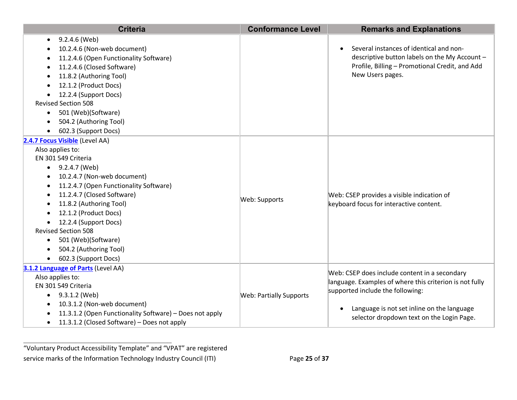| <b>Criteria</b>                                                                                                                                                                                                                                                                                                                                                                                                 | <b>Conformance Level</b>       | <b>Remarks and Explanations</b>                                                                                                                                                                                                                      |
|-----------------------------------------------------------------------------------------------------------------------------------------------------------------------------------------------------------------------------------------------------------------------------------------------------------------------------------------------------------------------------------------------------------------|--------------------------------|------------------------------------------------------------------------------------------------------------------------------------------------------------------------------------------------------------------------------------------------------|
| 9.2.4.6 (Web)<br>10.2.4.6 (Non-web document)<br>11.2.4.6 (Open Functionality Software)<br>11.2.4.6 (Closed Software)<br>11.8.2 (Authoring Tool)<br>12.1.2 (Product Docs)<br>12.2.4 (Support Docs)<br><b>Revised Section 508</b><br>501 (Web)(Software)<br>$\bullet$<br>504.2 (Authoring Tool)<br>602.3 (Support Docs)                                                                                           |                                | Several instances of identical and non-<br>$\bullet$<br>descriptive button labels on the My Account -<br>Profile, Billing - Promotional Credit, and Add<br>New Users pages.                                                                          |
| 2.4.7 Focus Visible (Level AA)<br>Also applies to:<br>EN 301 549 Criteria<br>9.2.4.7 (Web)<br>$\bullet$<br>10.2.4.7 (Non-web document)<br>11.2.4.7 (Open Functionality Software)<br>11.2.4.7 (Closed Software)<br>11.8.2 (Authoring Tool)<br>12.1.2 (Product Docs)<br>12.2.4 (Support Docs)<br><b>Revised Section 508</b><br>501 (Web)(Software)<br>$\bullet$<br>504.2 (Authoring Tool)<br>602.3 (Support Docs) | Web: Supports                  | Web: CSEP provides a visible indication of<br>keyboard focus for interactive content.                                                                                                                                                                |
| 3.1.2 Language of Parts (Level AA)<br>Also applies to:<br>EN 301 549 Criteria<br>9.3.1.2 (Web)<br>10.3.1.2 (Non-web document)<br>11.3.1.2 (Open Functionality Software) - Does not apply<br>11.3.1.2 (Closed Software) – Does not apply<br>$\bullet$                                                                                                                                                            | <b>Web: Partially Supports</b> | Web: CSEP does include content in a secondary<br>language. Examples of where this criterion is not fully<br>supported include the following:<br>Language is not set inline on the language<br>$\bullet$<br>selector dropdown text on the Login Page. |

"Voluntary Product Accessibility Template" and "VPAT" are registered service marks of the Information Technology Industry Council (ITI) Page 25 of 37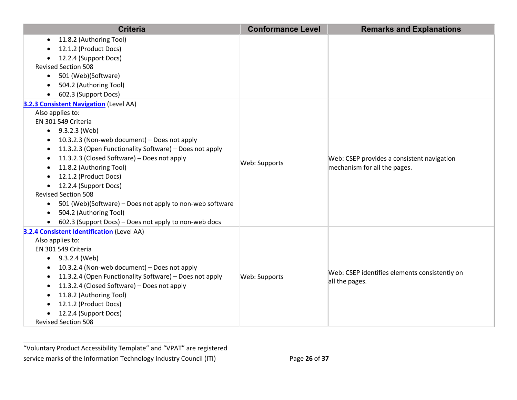| <b>Criteria</b>                                                       | <b>Conformance Level</b> | <b>Remarks and Explanations</b>                                            |
|-----------------------------------------------------------------------|--------------------------|----------------------------------------------------------------------------|
| 11.8.2 (Authoring Tool)<br>$\bullet$                                  |                          |                                                                            |
| 12.1.2 (Product Docs)                                                 |                          |                                                                            |
| 12.2.4 (Support Docs)<br>$\bullet$                                    |                          |                                                                            |
| <b>Revised Section 508</b>                                            |                          |                                                                            |
| 501 (Web)(Software)                                                   |                          |                                                                            |
| 504.2 (Authoring Tool)                                                |                          |                                                                            |
| 602.3 (Support Docs)                                                  |                          |                                                                            |
| 3.2.3 Consistent Navigation (Level AA)                                |                          |                                                                            |
| Also applies to:                                                      |                          |                                                                            |
| EN 301 549 Criteria                                                   |                          |                                                                            |
| 9.3.2.3 (Web)<br>$\bullet$                                            |                          |                                                                            |
| 10.3.2.3 (Non-web document) - Does not apply                          |                          | Web: CSEP provides a consistent navigation<br>mechanism for all the pages. |
| 11.3.2.3 (Open Functionality Software) - Does not apply               |                          |                                                                            |
| 11.3.2.3 (Closed Software) - Does not apply                           |                          |                                                                            |
| 11.8.2 (Authoring Tool)                                               | Web: Supports            |                                                                            |
| 12.1.2 (Product Docs)                                                 |                          |                                                                            |
| 12.2.4 (Support Docs)                                                 |                          |                                                                            |
| <b>Revised Section 508</b>                                            |                          |                                                                            |
| 501 (Web)(Software) - Does not apply to non-web software<br>$\bullet$ |                          |                                                                            |
| 504.2 (Authoring Tool)                                                |                          |                                                                            |
| 602.3 (Support Docs) - Does not apply to non-web docs                 |                          |                                                                            |
| <b>3.2.4 Consistent Identification (Level AA)</b>                     |                          |                                                                            |
| Also applies to:                                                      |                          |                                                                            |
| EN 301 549 Criteria                                                   |                          |                                                                            |
| 9.3.2.4 (Web)<br>$\bullet$                                            |                          |                                                                            |
| 10.3.2.4 (Non-web document) - Does not apply                          |                          |                                                                            |
| 11.3.2.4 (Open Functionality Software) - Does not apply               | Web: Supports            | Web: CSEP identifies elements consistently on<br>all the pages.            |
| 11.3.2.4 (Closed Software) - Does not apply                           |                          |                                                                            |
| 11.8.2 (Authoring Tool)                                               |                          |                                                                            |
| 12.1.2 (Product Docs)                                                 |                          |                                                                            |
| 12.2.4 (Support Docs)                                                 |                          |                                                                            |
| <b>Revised Section 508</b>                                            |                          |                                                                            |

"Voluntary Product Accessibility Template" and "VPAT" are registered service marks of the Information Technology Industry Council (ITI) Page 26 of 37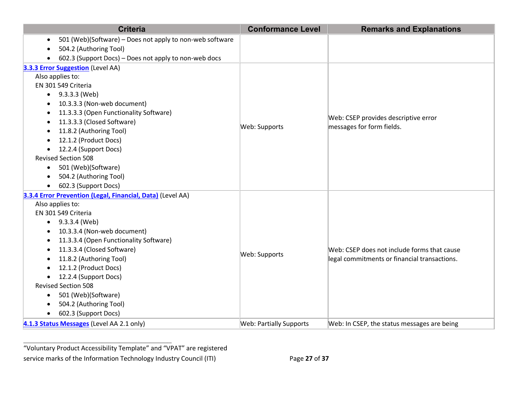| <b>Criteria</b>                                                       | <b>Conformance Level</b>       | <b>Remarks and Explanations</b>              |
|-----------------------------------------------------------------------|--------------------------------|----------------------------------------------|
| 501 (Web)(Software) - Does not apply to non-web software<br>$\bullet$ |                                |                                              |
| 504.2 (Authoring Tool)                                                |                                |                                              |
| 602.3 (Support Docs) - Does not apply to non-web docs                 |                                |                                              |
| 3.3.3 Error Suggestion (Level AA)                                     |                                |                                              |
| Also applies to:                                                      |                                |                                              |
| EN 301 549 Criteria                                                   |                                |                                              |
| $\bullet$ 9.3.3.3 (Web)                                               |                                |                                              |
| 10.3.3.3 (Non-web document)                                           |                                |                                              |
| 11.3.3.3 (Open Functionality Software)                                |                                |                                              |
| 11.3.3.3 (Closed Software)                                            |                                | Web: CSEP provides descriptive error         |
| 11.8.2 (Authoring Tool)                                               | Web: Supports                  | messages for form fields.                    |
| 12.1.2 (Product Docs)                                                 |                                |                                              |
| 12.2.4 (Support Docs)                                                 |                                |                                              |
| <b>Revised Section 508</b>                                            |                                |                                              |
| 501 (Web)(Software)<br>$\bullet$                                      |                                |                                              |
| 504.2 (Authoring Tool)                                                |                                |                                              |
| 602.3 (Support Docs)                                                  |                                |                                              |
| 3.3.4 Error Prevention (Legal, Financial, Data) (Level AA)            |                                |                                              |
| Also applies to:                                                      |                                |                                              |
| EN 301 549 Criteria                                                   |                                | Web: CSEP does not include forms that cause  |
| $\bullet$ 9.3.3.4 (Web)                                               |                                |                                              |
| 10.3.3.4 (Non-web document)                                           |                                |                                              |
| 11.3.3.4 (Open Functionality Software)                                |                                |                                              |
| 11.3.3.4 (Closed Software)                                            | Web: Supports                  |                                              |
| 11.8.2 (Authoring Tool)                                               |                                | legal commitments or financial transactions. |
| 12.1.2 (Product Docs)                                                 |                                |                                              |
| 12.2.4 (Support Docs)                                                 |                                |                                              |
| <b>Revised Section 508</b>                                            |                                |                                              |
| 501 (Web)(Software)<br>$\bullet$                                      |                                |                                              |
| 504.2 (Authoring Tool)                                                |                                |                                              |
| 602.3 (Support Docs)                                                  |                                |                                              |
| 4.1.3 Status Messages (Level AA 2.1 only)                             | <b>Web: Partially Supports</b> | Web: In CSEP, the status messages are being  |

"Voluntary Product Accessibility Template" and "VPAT" are registered

service marks of the Information Technology Industry Council (ITI) Page 27 of 37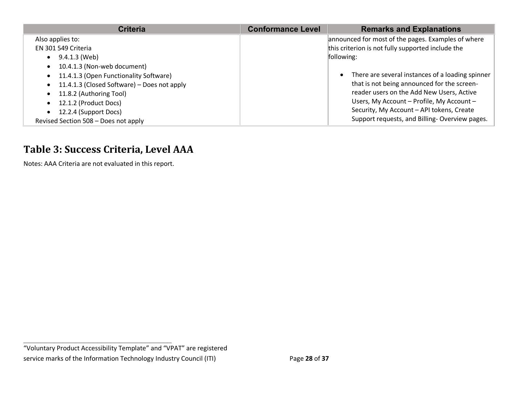| <b>Criteria</b>                             | <b>Conformance Level</b> | <b>Remarks and Explanations</b>                               |
|---------------------------------------------|--------------------------|---------------------------------------------------------------|
| Also applies to:                            |                          | announced for most of the pages. Examples of where            |
| EN 301 549 Criteria                         |                          | this criterion is not fully supported include the             |
| 9.4.1.3 (Web)                               |                          | following:                                                    |
| 10.4.1.3 (Non-web document)                 |                          |                                                               |
| 11.4.1.3 (Open Functionality Software)      |                          | There are several instances of a loading spinner<br>$\bullet$ |
| 11.4.1.3 (Closed Software) - Does not apply |                          | that is not being announced for the screen-                   |
| 11.8.2 (Authoring Tool)                     |                          | reader users on the Add New Users, Active                     |
| 12.1.2 (Product Docs)                       |                          | Users, My Account - Profile, My Account -                     |
| 12.2.4 (Support Docs)                       |                          | Security, My Account - API tokens, Create                     |
| Revised Section 508 - Does not apply        |                          | Support requests, and Billing-Overview pages.                 |

#### **Table 3: Success Criteria, Level AAA**

Notes: AAA Criteria are not evaluated in this report.

<sup>&</sup>quot;Voluntary Product Accessibility Template" and "VPAT" are registered service marks of the Information Technology Industry Council (ITI) Page 28 of 37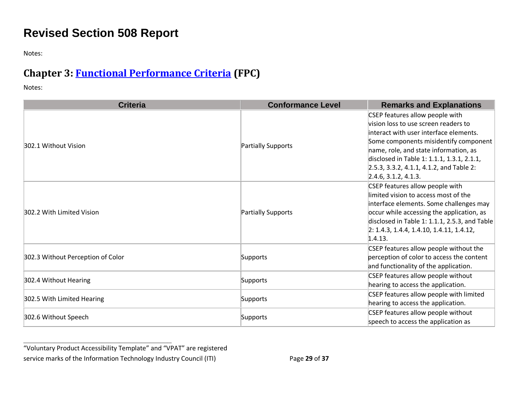# **Revised Section 508 Report**

Notes:

## **Chapter 3: [Functional Performance Criteria](https://www.access-board.gov/guidelines-and-standards/communications-and-it/about-the-ict-refresh/final-rule/text-of-the-standards-and-guidelines#302-functional-performance-criteria) (FPC)**

Notes:

| <b>Criteria</b>                   | <b>Conformance Level</b>  | <b>Remarks and Explanations</b>                                                                                                                                                                                                                                                                                       |
|-----------------------------------|---------------------------|-----------------------------------------------------------------------------------------------------------------------------------------------------------------------------------------------------------------------------------------------------------------------------------------------------------------------|
| 302.1 Without Vision              | <b>Partially Supports</b> | CSEP features allow people with<br>vision loss to use screen readers to<br>interact with user interface elements.<br>Some components misidentify component<br>name, role, and state information, as<br>disclosed in Table 1: 1.1.1, 1.3.1, 2.1.1,<br>2.5.3, 3.3.2, 4.1.1, 4.1.2, and Table 2:<br>2.4.6, 3.1.2, 4.1.3. |
| 302.2 With Limited Vision         | <b>Partially Supports</b> | CSEP features allow people with<br>limited vision to access most of the<br>interface elements. Some challenges may<br>occur while accessing the application, as<br>disclosed in Table 1: 1.1.1, 2.5.3, and Table<br>$2: 1.4.3, 1.4.4, 1.4.10, 1.4.11, 1.4.12,$<br>1.4.13.                                             |
| 302.3 Without Perception of Color | Supports                  | CSEP features allow people without the<br>perception of color to access the content<br>and functionality of the application.                                                                                                                                                                                          |
| 302.4 Without Hearing             | Supports                  | CSEP features allow people without<br>hearing to access the application.                                                                                                                                                                                                                                              |
| 302.5 With Limited Hearing        | Supports                  | CSEP features allow people with limited<br>hearing to access the application.                                                                                                                                                                                                                                         |
| 302.6 Without Speech              | Supports                  | CSEP features allow people without<br>speech to access the application as                                                                                                                                                                                                                                             |

"Voluntary Product Accessibility Template" and "VPAT" are registered service marks of the Information Technology Industry Council (ITI) Page 29 of 37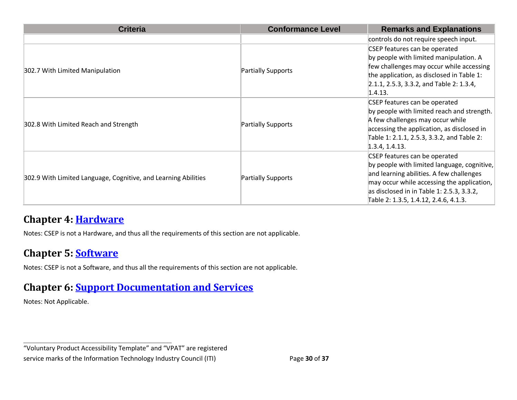| <b>Criteria</b>                                                | <b>Conformance Level</b> | <b>Remarks and Explanations</b>             |
|----------------------------------------------------------------|--------------------------|---------------------------------------------|
|                                                                |                          | controls do not require speech input.       |
| 302.7 With Limited Manipulation                                | Partially Supports       | CSEP features can be operated               |
|                                                                |                          | by people with limited manipulation. A      |
|                                                                |                          | few challenges may occur while accessing    |
|                                                                |                          | the application, as disclosed in Table 1:   |
|                                                                |                          | 2.1.1, 2.5.3, 3.3.2, and Table 2: 1.3.4,    |
|                                                                |                          | 1.4.13.                                     |
|                                                                | Partially Supports       | CSEP features can be operated               |
|                                                                |                          | by people with limited reach and strength.  |
| 302.8 With Limited Reach and Strength                          |                          | A few challenges may occur while            |
|                                                                |                          | accessing the application, as disclosed in  |
|                                                                |                          | Table 1: 2.1.1, 2.5.3, 3.3.2, and Table 2:  |
|                                                                |                          | 1.3.4, 1.4.13.                              |
|                                                                | Partially Supports       | CSEP features can be operated               |
| 302.9 With Limited Language, Cognitive, and Learning Abilities |                          | by people with limited language, cognitive, |
|                                                                |                          | and learning abilities. A few challenges    |
|                                                                |                          | may occur while accessing the application,  |
|                                                                |                          | as disclosed in in Table 1: 2.5.3, 3.3.2,   |
|                                                                |                          | Table 2: 1.3.5, 1.4.12, 2.4.6, 4.1.3.       |

#### **Chapter 4: [Hardware](https://www.access-board.gov/guidelines-and-standards/communications-and-it/about-the-ict-refresh/final-rule/text-of-the-standards-and-guidelines#401-general)**

Notes: CSEP is not a Hardware, and thus all the requirements of this section are not applicable.

#### **Chapter 5: [Software](https://www.access-board.gov/guidelines-and-standards/communications-and-it/about-the-ict-refresh/final-rule/text-of-the-standards-and-guidelines#501-general)**

Notes: CSEP is not a Software, and thus all the requirements of this section are not applicable.

#### **Chapter 6: [Support Documentation and Services](https://www.access-board.gov/guidelines-and-standards/communications-and-it/about-the-ict-refresh/final-rule/text-of-the-standards-and-guidelines#601-general)**

Notes: Not Applicable.

<sup>&</sup>quot;Voluntary Product Accessibility Template" and "VPAT" are registered service marks of the Information Technology Industry Council (ITI) Page 30 of 37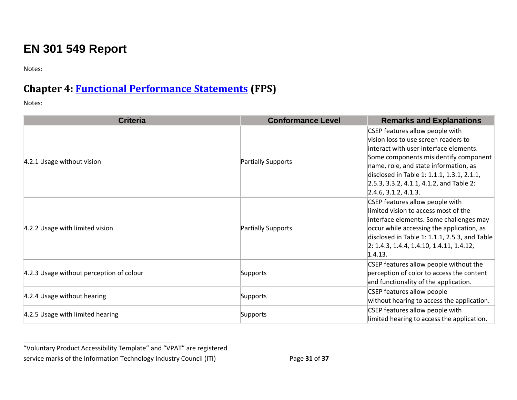# **EN 301 549 Report**

Notes:

#### **Chapter 4: [Functional Performance Statements](https://www.etsi.org/deliver/etsi_en/301500_301599/301549/03.01.01_60/en_301549v030101p.pdf#%5B%7B%22num%22%3A38%2C%22gen%22%3A0%7D%2C%7B%22name%22%3A%22XYZ%22%7D%2C54%2C747%2C0%5D) (FPS)**

Notes:

| <b>Criteria</b>                          | <b>Conformance Level</b>  | <b>Remarks and Explanations</b>                                                                                                                                                                                                                                                                                           |
|------------------------------------------|---------------------------|---------------------------------------------------------------------------------------------------------------------------------------------------------------------------------------------------------------------------------------------------------------------------------------------------------------------------|
| 4.2.1 Usage without vision               | <b>Partially Supports</b> | CSEP features allow people with<br>vision loss to use screen readers to<br>interact with user interface elements.<br>Some components misidentify component<br>name, role, and state information, as<br>disclosed in Table 1: 1.1.1, 1.3.1, 2.1.1,<br>$[2.5.3, 3.3.2, 4.1.1, 4.1.2,$ and Table 2:<br>[2.4.6, 3.1.2, 4.1.3] |
| 4.2.2 Usage with limited vision          | <b>Partially Supports</b> | CSEP features allow people with<br>llimited vision to access most of the<br>interface elements. Some challenges may<br>occur while accessing the application, as<br>disclosed in Table 1: 1.1.1, 2.5.3, and Table<br>$[2: 1.4.3, 1.4.4, 1.4.10, 1.4.11, 1.4.12,$<br>1.4.13.                                               |
| 4.2.3 Usage without perception of colour | Supports                  | CSEP features allow people without the<br>perception of color to access the content<br>and functionality of the application.                                                                                                                                                                                              |
| 4.2.4 Usage without hearing              | Supports                  | CSEP features allow people<br>without hearing to access the application.                                                                                                                                                                                                                                                  |
| 4.2.5 Usage with limited hearing         | Supports                  | CSEP features allow people with<br>limited hearing to access the application.                                                                                                                                                                                                                                             |

<sup>&</sup>quot;Voluntary Product Accessibility Template" and "VPAT" are registered service marks of the Information Technology Industry Council (ITI) Page 31 of 37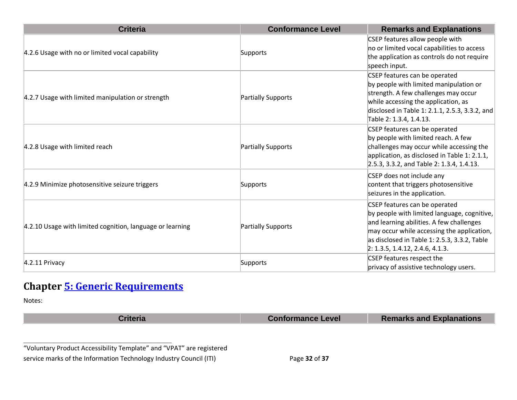| <b>Criteria</b>                                           | <b>Conformance Level</b> | <b>Remarks and Explanations</b>                                                                                                                                                                                                                           |
|-----------------------------------------------------------|--------------------------|-----------------------------------------------------------------------------------------------------------------------------------------------------------------------------------------------------------------------------------------------------------|
| 4.2.6 Usage with no or limited vocal capability           | Supports                 | CSEP features allow people with<br>no or limited vocal capabilities to access<br>the application as controls do not require<br>speech input.                                                                                                              |
| 4.2.7 Usage with limited manipulation or strength         | Partially Supports       | CSEP features can be operated<br>by people with limited manipulation or<br>strength. A few challenges may occur<br>while accessing the application, as<br>disclosed in Table 1: 2.1.1, 2.5.3, 3.3.2, and<br>Table 2: 1.3.4, 1.4.13.                       |
| 4.2.8 Usage with limited reach                            | Partially Supports       | CSEP features can be operated<br>by people with limited reach. A few<br>challenges may occur while accessing the<br>application, as disclosed in Table 1: 2.1.1,<br>2.5.3, 3.3.2, and Table 2: 1.3.4, 1.4.13.                                             |
| 4.2.9 Minimize photosensitive seizure triggers            | Supports                 | CSEP does not include any<br>content that triggers photosensitive<br>seizures in the application.                                                                                                                                                         |
| 4.2.10 Usage with limited cognition, language or learning | Partially Supports       | CSEP features can be operated<br>by people with limited language, cognitive,<br>and learning abilities. A few challenges<br>may occur while accessing the application,<br>as disclosed in Table 1: 2.5.3, 3.3.2, Table<br>2: 1.3.5, 1.4.12, 2.4.6, 4.1.3. |
| 4.2.11 Privacy                                            | Supports                 | CSEP features respect the<br>privacy of assistive technology users.                                                                                                                                                                                       |

#### **Chapter [5: Generic Requirements](https://www.etsi.org/deliver/etsi_en/301500_301599/301549/03.01.01_60/en_301549v030101p.pdf#%5B%7B%22num%22%3A45%2C%22gen%22%3A0%7D%2C%7B%22name%22%3A%22XYZ%22%7D%2C54%2C747%2C0%5D)**

**\_\_\_\_\_\_\_\_\_\_\_\_\_\_\_\_\_\_\_\_\_\_\_\_\_\_\_\_\_\_\_\_\_\_**

Notes:

| <b>Criteria</b> | <b>Conformance Level</b> | <b>Remarks and Explanations</b> |
|-----------------|--------------------------|---------------------------------|
|                 |                          |                                 |

"Voluntary Product Accessibility Template" and "VPAT" are registered service marks of the Information Technology Industry Council (ITI) Page 32 of 37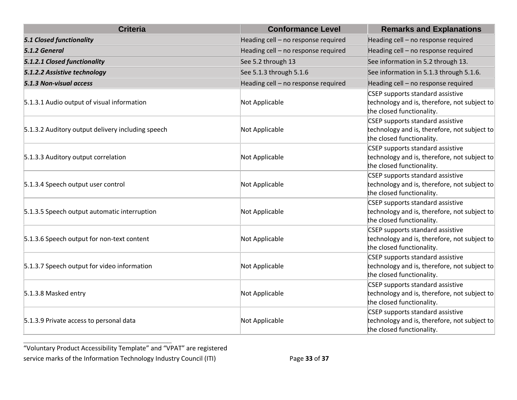| <b>Criteria</b>                                   | <b>Conformance Level</b>            | <b>Remarks and Explanations</b>                                                                               |
|---------------------------------------------------|-------------------------------------|---------------------------------------------------------------------------------------------------------------|
| <b>5.1 Closed functionality</b>                   | Heading cell - no response required | Heading cell - no response required                                                                           |
| 5.1.2 General                                     | Heading cell - no response required | Heading cell - no response required                                                                           |
| 5.1.2.1 Closed functionality                      | See 5.2 through 13                  | See information in 5.2 through 13.                                                                            |
| 5.1.2.2 Assistive technology                      | See 5.1.3 through 5.1.6             | See information in 5.1.3 through 5.1.6.                                                                       |
| 5.1.3 Non-visual access                           | Heading cell - no response required | Heading cell - no response required                                                                           |
| 5.1.3.1 Audio output of visual information        | Not Applicable                      | CSEP supports standard assistive<br>technology and is, therefore, not subject to<br>the closed functionality. |
| 5.1.3.2 Auditory output delivery including speech | Not Applicable                      | CSEP supports standard assistive<br>technology and is, therefore, not subject to<br>the closed functionality. |
| 5.1.3.3 Auditory output correlation               | Not Applicable                      | CSEP supports standard assistive<br>technology and is, therefore, not subject to<br>the closed functionality. |
| 5.1.3.4 Speech output user control                | Not Applicable                      | CSEP supports standard assistive<br>technology and is, therefore, not subject to<br>the closed functionality. |
| 5.1.3.5 Speech output automatic interruption      | Not Applicable                      | CSEP supports standard assistive<br>technology and is, therefore, not subject to<br>the closed functionality. |
| 5.1.3.6 Speech output for non-text content        | Not Applicable                      | CSEP supports standard assistive<br>technology and is, therefore, not subject to<br>the closed functionality. |
| 5.1.3.7 Speech output for video information       | Not Applicable                      | CSEP supports standard assistive<br>technology and is, therefore, not subject to<br>the closed functionality. |
| 5.1.3.8 Masked entry                              | Not Applicable                      | CSEP supports standard assistive<br>technology and is, therefore, not subject to<br>the closed functionality. |
| 5.1.3.9 Private access to personal data           | Not Applicable                      | CSEP supports standard assistive<br>technology and is, therefore, not subject to<br>the closed functionality. |

<sup>&</sup>quot;Voluntary Product Accessibility Template" and "VPAT" are registered service marks of the Information Technology Industry Council (ITI) Page 33 of 37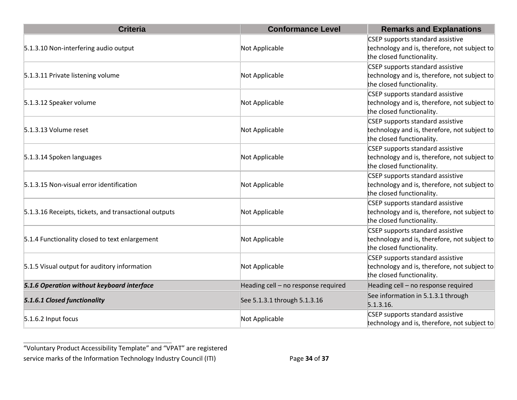| 5.1.3.10 Non-interfering audio output<br>Not Applicable<br>the closed functionality.<br>Not Applicable<br>5.1.3.11 Private listening volume<br>the closed functionality. | CSEP supports standard assistive<br>technology and is, therefore, not subject to<br>CSEP supports standard assistive<br>technology and is, therefore, not subject to<br>CSEP supports standard assistive<br>technology and is, therefore, not subject to |
|--------------------------------------------------------------------------------------------------------------------------------------------------------------------------|----------------------------------------------------------------------------------------------------------------------------------------------------------------------------------------------------------------------------------------------------------|
|                                                                                                                                                                          |                                                                                                                                                                                                                                                          |
|                                                                                                                                                                          |                                                                                                                                                                                                                                                          |
|                                                                                                                                                                          |                                                                                                                                                                                                                                                          |
|                                                                                                                                                                          |                                                                                                                                                                                                                                                          |
|                                                                                                                                                                          |                                                                                                                                                                                                                                                          |
| 5.1.3.12 Speaker volume<br>Not Applicable<br>the closed functionality.                                                                                                   |                                                                                                                                                                                                                                                          |
|                                                                                                                                                                          | CSEP supports standard assistive                                                                                                                                                                                                                         |
| 5.1.3.13 Volume reset<br>Not Applicable                                                                                                                                  | technology and is, therefore, not subject to                                                                                                                                                                                                             |
| the closed functionality.                                                                                                                                                | CSEP supports standard assistive                                                                                                                                                                                                                         |
| 5.1.3.14 Spoken languages<br>Not Applicable                                                                                                                              | technology and is, therefore, not subject to                                                                                                                                                                                                             |
| the closed functionality.                                                                                                                                                |                                                                                                                                                                                                                                                          |
|                                                                                                                                                                          | CSEP supports standard assistive                                                                                                                                                                                                                         |
| 5.1.3.15 Non-visual error identification<br>Not Applicable                                                                                                               | technology and is, therefore, not subject to                                                                                                                                                                                                             |
| the closed functionality.                                                                                                                                                |                                                                                                                                                                                                                                                          |
| 5.1.3.16 Receipts, tickets, and transactional outputs<br>Not Applicable                                                                                                  | CSEP supports standard assistive<br>technology and is, therefore, not subject to                                                                                                                                                                         |
| the closed functionality.                                                                                                                                                |                                                                                                                                                                                                                                                          |
|                                                                                                                                                                          | CSEP supports standard assistive                                                                                                                                                                                                                         |
| 5.1.4 Functionality closed to text enlargement<br>Not Applicable                                                                                                         | technology and is, therefore, not subject to                                                                                                                                                                                                             |
| the closed functionality.                                                                                                                                                |                                                                                                                                                                                                                                                          |
|                                                                                                                                                                          | CSEP supports standard assistive                                                                                                                                                                                                                         |
| 5.1.5 Visual output for auditory information<br>Not Applicable<br>the closed functionality.                                                                              | technology and is, therefore, not subject to                                                                                                                                                                                                             |
| 5.1.6 Operation without keyboard interface<br>Heading cell - no response required                                                                                        | Heading cell - no response required                                                                                                                                                                                                                      |
| See 5.1.3.1 through 5.1.3.16<br>5.1.6.1 Closed functionality<br>5.1.3.16.                                                                                                | See information in 5.1.3.1 through                                                                                                                                                                                                                       |
| 5.1.6.2 Input focus<br>Not Applicable<br>technology and is, therefore, not subject to                                                                                    | CSEP supports standard assistive                                                                                                                                                                                                                         |

"Voluntary Product Accessibility Template" and "VPAT" are registered service marks of the Information Technology Industry Council (ITI) Page 34 of 37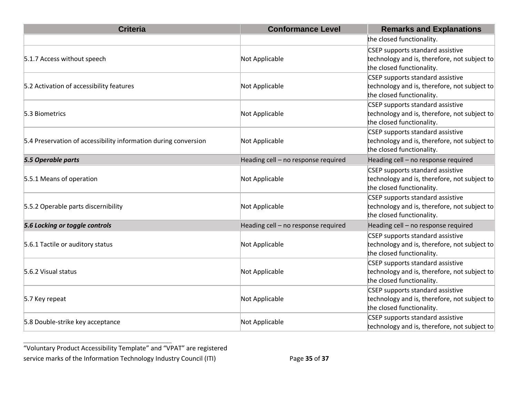| <b>Criteria</b>                                                 | <b>Conformance Level</b>            | <b>Remarks and Explanations</b>                                                                               |
|-----------------------------------------------------------------|-------------------------------------|---------------------------------------------------------------------------------------------------------------|
|                                                                 |                                     | the closed functionality.                                                                                     |
| 5.1.7 Access without speech                                     | Not Applicable                      | CSEP supports standard assistive<br>technology and is, therefore, not subject to<br>the closed functionality. |
| 5.2 Activation of accessibility features                        | Not Applicable                      | CSEP supports standard assistive<br>technology and is, therefore, not subject to<br>the closed functionality. |
| 5.3 Biometrics                                                  | Not Applicable                      | CSEP supports standard assistive<br>technology and is, therefore, not subject to<br>the closed functionality. |
| 5.4 Preservation of accessibility information during conversion | Not Applicable                      | CSEP supports standard assistive<br>technology and is, therefore, not subject to<br>the closed functionality. |
| 5.5 Operable parts                                              | Heading cell - no response required | Heading cell - no response required                                                                           |
| 5.5.1 Means of operation                                        | Not Applicable                      | CSEP supports standard assistive<br>technology and is, therefore, not subject to<br>the closed functionality. |
| 5.5.2 Operable parts discernibility                             | Not Applicable                      | CSEP supports standard assistive<br>technology and is, therefore, not subject to<br>the closed functionality. |
| 5.6 Locking or toggle controls                                  | Heading cell - no response required | Heading cell - no response required                                                                           |
| 5.6.1 Tactile or auditory status                                | Not Applicable                      | CSEP supports standard assistive<br>technology and is, therefore, not subject to<br>the closed functionality. |
| 5.6.2 Visual status                                             | Not Applicable                      | CSEP supports standard assistive<br>technology and is, therefore, not subject to<br>the closed functionality. |
| 5.7 Key repeat                                                  | Not Applicable                      | CSEP supports standard assistive<br>technology and is, therefore, not subject to<br>the closed functionality. |
| 5.8 Double-strike key acceptance                                | Not Applicable                      | CSEP supports standard assistive<br>technology and is, therefore, not subject to                              |

**\_\_\_\_\_\_\_\_\_\_\_\_\_\_\_\_\_\_\_\_\_\_\_\_\_\_\_\_\_\_\_\_\_\_** "Voluntary Product Accessibility Template" and "VPAT" are registered service marks of the Information Technology Industry Council (ITI) Page 35 of 37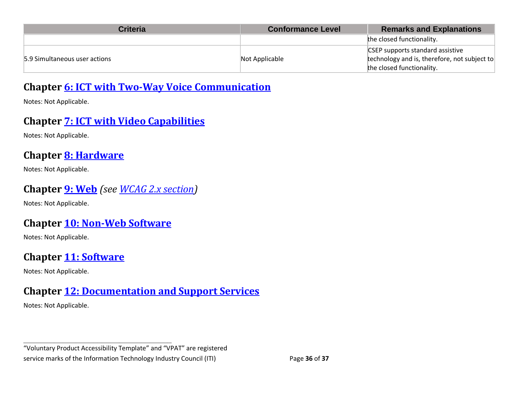| <b>Criteria</b>               | <b>Conformance Level</b> | <b>Remarks and Explanations</b>              |
|-------------------------------|--------------------------|----------------------------------------------|
|                               |                          | the closed functionality.                    |
| 5.9 Simultaneous user actions |                          | CSEP supports standard assistive             |
|                               | Not Applicable           | technology and is, therefore, not subject to |
|                               |                          | the closed functionality.                    |

#### **Chapter [6: ICT with Two-Way Voice Communication](https://www.etsi.org/deliver/etsi_en/301500_301599/301549/03.01.01_60/en_301549v030101p.pdf#%5B%7B%22num%22%3A60%2C%22gen%22%3A0%7D%2C%7B%22name%22%3A%22XYZ%22%7D%2C54%2C747%2C0%5D)**

Notes: Not Applicable.

#### **Chapter [7: ICT with Video Capabilities](https://www.etsi.org/deliver/etsi_en/301500_301599/301549/03.01.01_60/en_301549v030101p.pdf#%5B%7B%22num%22%3A70%2C%22gen%22%3A0%7D%2C%7B%22name%22%3A%22XYZ%22%7D%2C54%2C747%2C0%5D)**

Notes: Not Applicable.

**Chapter [8: Hardware](https://www.etsi.org/deliver/etsi_en/301500_301599/301549/03.01.01_60/en_301549v030101p.pdf#%5B%7B%22num%22%3A74%2C%22gen%22%3A0%7D%2C%7B%22name%22%3A%22XYZ%22%7D%2C54%2C747%2C0%5D)**

Notes: Not Applicable.

#### **Chapter [9: Web](https://www.etsi.org/deliver/etsi_en/301500_301599/301549/03.01.01_60/en_301549v030101p.pdf#%5B%7B%22num%22%3A113%2C%22gen%22%3A0%7D%2C%7B%22name%22%3A%22XYZ%22%7D%2C54%2C747%2C0%5D)** *(see [WCAG 2.x](#page-4-0) section)*

Notes: Not Applicable.

#### **Chapter [10: Non-Web Software](https://www.etsi.org/deliver/etsi_en/301500_301599/301549/03.01.01_60/en_301549v030101p.pdf#%5B%7B%22num%22%3A127%2C%22gen%22%3A0%7D%2C%7B%22name%22%3A%22XYZ%22%7D%2C54%2C747%2C0%5D)**

**\_\_\_\_\_\_\_\_\_\_\_\_\_\_\_\_\_\_\_\_\_\_\_\_\_\_\_\_\_\_\_\_\_\_**

Notes: Not Applicable.

#### **Chapter [11: Software](https://www.etsi.org/deliver/etsi_en/301500_301599/301549/03.01.01_60/en_301549v030101p.pdf#%5B%7B%22num%22%3A149%2C%22gen%22%3A0%7D%2C%7B%22name%22%3A%22XYZ%22%7D%2C54%2C747%2C0%5D)**

Notes: Not Applicable.

#### **Chapter [12: Documentation and Support Services](https://www.etsi.org/deliver/etsi_en/301500_301599/301549/03.01.01_60/en_301549v030101p.pdf#%5B%7B%22num%22%3A187%2C%22gen%22%3A0%7D%2C%7B%22name%22%3A%22XYZ%22%7D%2C54%2C747%2C0%5D)**

Notes: Not Applicable.

<sup>&</sup>quot;Voluntary Product Accessibility Template" and "VPAT" are registered service marks of the Information Technology Industry Council (ITI) Page 36 of 37